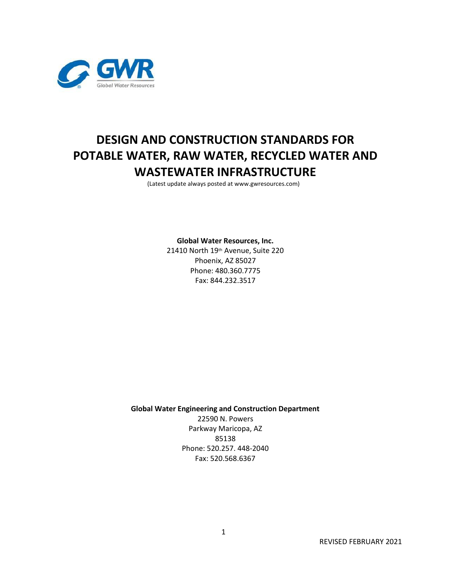

# **DESIGN AND CONSTRUCTION STANDARDS FOR POTABLE WATER, RAW WATER, RECYCLED WATER AND WASTEWATER INFRASTRUCTURE**

(Latest update always posted at www.gwresources.com)

**Global Water Resources, Inc.** 21410 North 19th Avenue, Suite 220 Phoenix, AZ 85027 Phone: 480.360.7775 Fax: 844.232.3517

**Global Water Engineering and Construction Department** 22590 N. Powers

Parkway Maricopa, AZ 85138 Phone: 520.257. 448-2040 Fax: 520.568.6367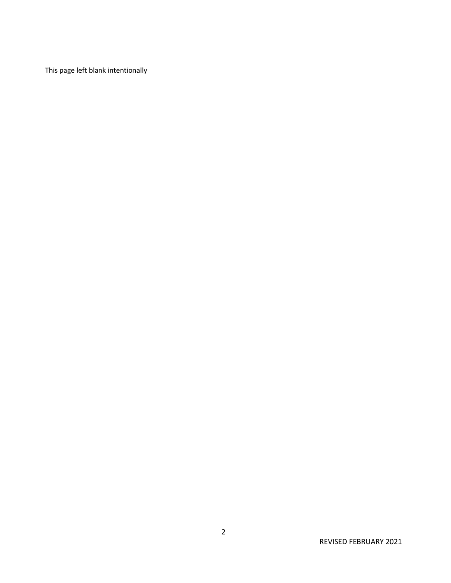This page left blank intentionally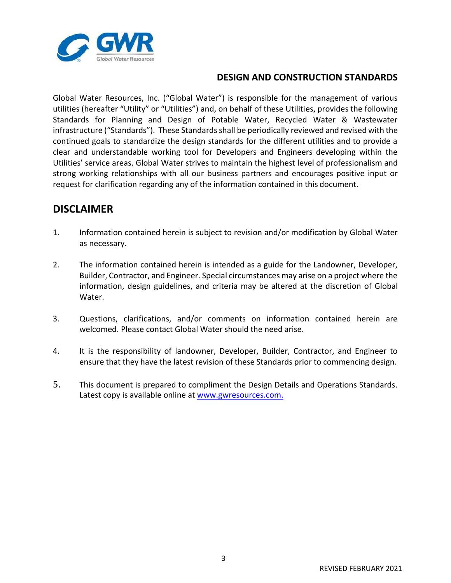

Global Water Resources, Inc. ("Global Water") is responsible for the management of various utilities (hereafter "Utility" or "Utilities") and, on behalf of these Utilities, provides the following Standards for Planning and Design of Potable Water, Recycled Water & Wastewater infrastructure ("Standards"). These Standards shall be periodically reviewed and revised with the continued goals to standardize the design standards for the different utilities and to provide a clear and understandable working tool for Developers and Engineers developing within the Utilities' service areas. Global Water strives to maintain the highest level of professionalism and strong working relationships with all our business partners and encourages positive input or request for clarification regarding any of the information contained in this document.

# <span id="page-2-0"></span>**DISCLAIMER**

- 1. Information contained herein is subject to revision and/or modification by Global Water as necessary.
- 2. The information contained herein is intended as a guide for the Landowner, Developer, Builder, Contractor, and Engineer. Special circumstances may arise on a project where the information, design guidelines, and criteria may be altered at the discretion of Global Water.
- 3. Questions, clarifications, and/or comments on information contained herein are welcomed. Please contact Global Water should the need arise.
- 4. It is the responsibility of landowner, Developer, Builder, Contractor, and Engineer to ensure that they have the latest revision of these Standards prior to commencing design.
- 5. This document is prepared to compliment the Design Details and Operations Standards. Latest copy is available online at [www.gwresources.com.](http://www.gwresources.com./)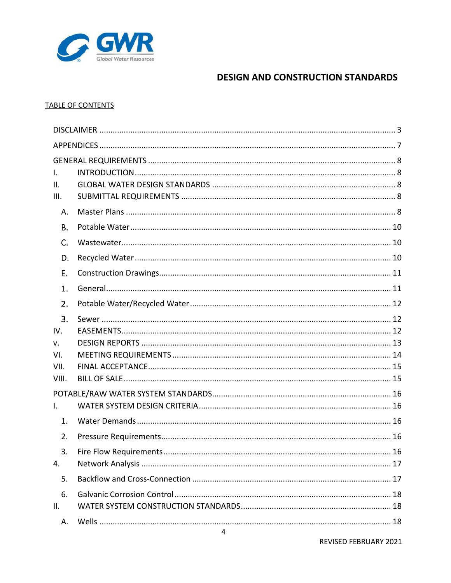

#### **TABLE OF CONTENTS**

| $\mathbf{L}$ |    |
|--------------|----|
| II.          |    |
| III.         |    |
| А.           |    |
| В.           |    |
| C.           |    |
| D.           |    |
| Ε.           |    |
| 1.           |    |
| 2.           |    |
| 3.           |    |
| IV.          |    |
| $V_{\cdot}$  |    |
| VI.          |    |
| VII.         |    |
| VIII.        |    |
|              |    |
| $\mathbf{L}$ |    |
| 1.           |    |
| 2.           |    |
| 3.           | 16 |
| 4.           |    |
| 5.           |    |
| 6.           |    |
| Ш.           |    |
| Α.           |    |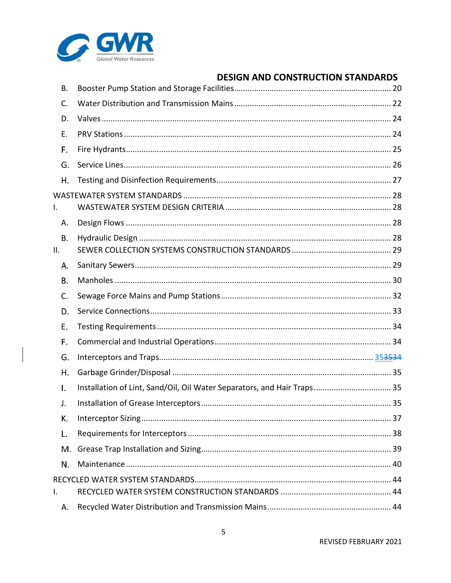

| Β.               |                                                                         |  |
|------------------|-------------------------------------------------------------------------|--|
| C.               |                                                                         |  |
| D.               |                                                                         |  |
| Ε.               |                                                                         |  |
| F.               |                                                                         |  |
| G.               |                                                                         |  |
| Η.               |                                                                         |  |
| Ι.               |                                                                         |  |
| А.               |                                                                         |  |
| <b>B.</b><br>II. |                                                                         |  |
| А.               |                                                                         |  |
| <b>B.</b>        |                                                                         |  |
| C.               |                                                                         |  |
| D.               |                                                                         |  |
| Ε.               |                                                                         |  |
| F.               |                                                                         |  |
| G.               |                                                                         |  |
| Η.               |                                                                         |  |
| I.               | Installation of Lint, Sand/Oil, Oil Water Separators, and Hair Traps 35 |  |
| J.               |                                                                         |  |
| Κ.               |                                                                         |  |
| L.               |                                                                         |  |
| M.               |                                                                         |  |
| N.               |                                                                         |  |
|                  |                                                                         |  |
| I.               |                                                                         |  |
| А.               |                                                                         |  |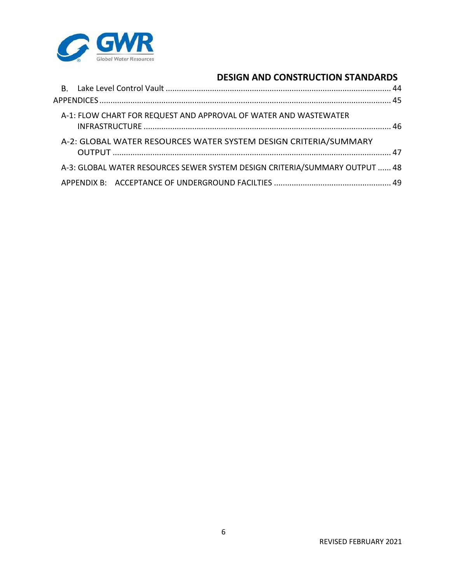

| A-1: FLOW CHART FOR REQUEST AND APPROVAL OF WATER AND WASTEWATER            |  |
|-----------------------------------------------------------------------------|--|
| A-2: GLOBAL WATER RESOURCES WATER SYSTEM DESIGN CRITERIA/SUMMARY            |  |
| A-3: GLOBAL WATER RESOURCES SEWER SYSTEM DESIGN CRITERIA/SUMMARY OUTPUT  48 |  |
|                                                                             |  |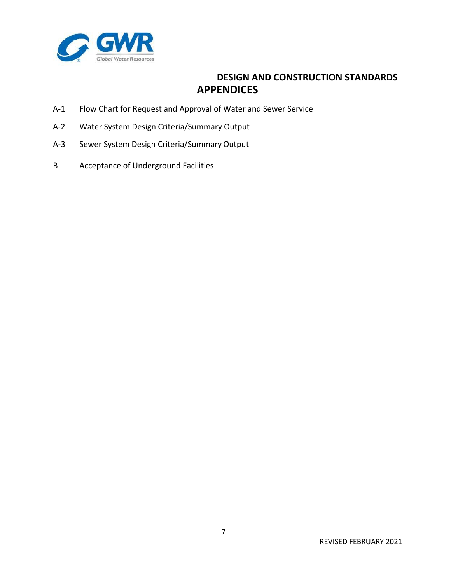

# **DESIGN AND CONSTRUCTION STANDARDS APPENDICES**

- <span id="page-6-0"></span>A‐1 Flow Chart for Request and Approval of Water and Sewer Service
- A‐2 Water System Design Criteria/Summary Output
- A‐3 Sewer System Design Criteria/Summary Output
- B Acceptance of Underground Facilities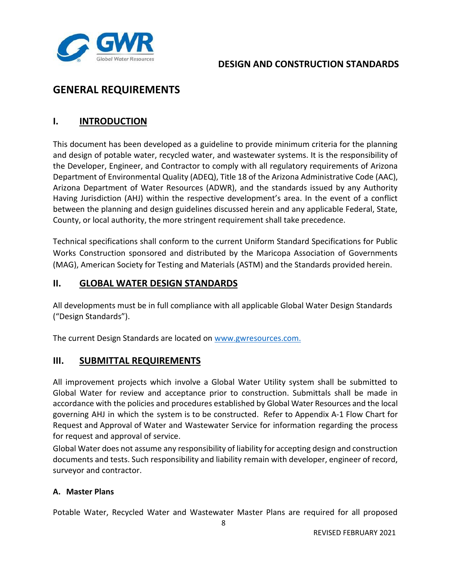

# <span id="page-7-0"></span>**GENERAL REQUIREMENTS**

# <span id="page-7-1"></span>**I. INTRODUCTION**

This document has been developed as a guideline to provide minimum criteria for the planning and design of potable water, recycled water, and wastewater systems. It is the responsibility of the Developer, Engineer, and Contractor to comply with all regulatory requirements of Arizona Department of Environmental Quality (ADEQ), Title 18 of the Arizona Administrative Code (AAC), Arizona Department of Water Resources (ADWR), and the standards issued by any Authority Having Jurisdiction (AHJ) within the respective development's area. In the event of a conflict between the planning and design guidelines discussed herein and any applicable Federal, State, County, or local authority, the more stringent requirement shall take precedence.

Technical specifications shall conform to the current Uniform Standard Specifications for Public Works Construction sponsored and distributed by the Maricopa Association of Governments (MAG), American Society for Testing and Materials (ASTM) and the Standards provided herein.

# <span id="page-7-2"></span>**II. GLOBAL WATER DESIGN STANDARDS**

All developments must be in full compliance with all applicable Global Water Design Standards ("Design Standards").

The current Design Standards are located on [www.gwresources.com.](http://www.gwresources.com/)

# <span id="page-7-3"></span>**III. SUBMITTAL REQUIREMENTS**

All improvement projects which involve a Global Water Utility system shall be submitted to Global Water for review and acceptance prior to construction. Submittals shall be made in accordance with the policies and procedures established by Global Water Resources and the local governing AHJ in which the system is to be constructed. Refer to Appendix A‐1 Flow Chart for Request and Approval of Water and Wastewater Service for information regarding the process for request and approval of service.

Global Water does not assume any responsibility of liability for accepting design and construction documents and tests. Such responsibility and liability remain with developer, engineer of record, surveyor and contractor.

#### <span id="page-7-4"></span>**A. Master Plans**

Potable Water, Recycled Water and Wastewater Master Plans are required for all proposed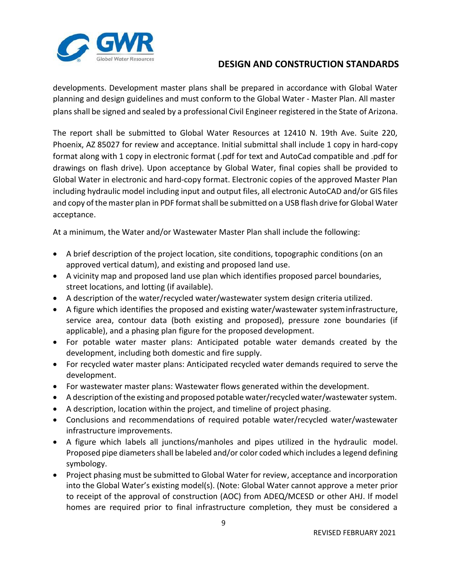

developments. Development master plans shall be prepared in accordance with Global Water planning and design guidelines and must conform to the Global Water ‐ Master Plan. All master plans shall be signed and sealed by a professional Civil Engineer registered in the State of Arizona.

The report shall be submitted to Global Water Resources at 12410 N. 19th Ave. Suite 220, Phoenix, AZ 85027 for review and acceptance. Initial submittal shall include 1 copy in hard‐copy format along with 1 copy in electronic format (.pdf for text and AutoCad compatible and .pdf for drawings on flash drive). Upon acceptance by Global Water, final copies shall be provided to Global Water in electronic and hard‐copy format. Electronic copies of the approved Master Plan including hydraulic model including input and output files, all electronic AutoCAD and/or GIS files and copy of the master plan in PDF format shall be submitted on a USB flash drive for Global Water acceptance.

At a minimum, the Water and/or Wastewater Master Plan shall include the following:

- A brief description of the project location, site conditions, topographic conditions (on an approved vertical datum), and existing and proposed land use.
- A vicinity map and proposed land use plan which identifies proposed parcel boundaries, street locations, and lotting (if available).
- A description of the water/recycled water/wastewater system design criteria utilized.
- A figure which identifies the proposed and existing water/wastewater systeminfrastructure, service area, contour data (both existing and proposed), pressure zone boundaries (if applicable), and a phasing plan figure for the proposed development.
- For potable water master plans: Anticipated potable water demands created by the development, including both domestic and fire supply.
- For recycled water master plans: Anticipated recycled water demands required to serve the development.
- For wastewater master plans: Wastewater flows generated within the development.
- A description of the existing and proposed potable water/recycled water/wastewater system.
- A description, location within the project, and timeline of project phasing.
- Conclusions and recommendations of required potable water/recycled water/wastewater infrastructure improvements.
- A figure which labels all junctions/manholes and pipes utilized in the hydraulic model. Proposed pipe diameters shall be labeled and/or color coded which includes a legend defining symbology.
- Project phasing must be submitted to Global Water for review, acceptance and incorporation into the Global Water's existing model(s). (Note: Global Water cannot approve a meter prior to receipt of the approval of construction (AOC) from ADEQ/MCESD or other AHJ. If model homes are required prior to final infrastructure completion, they must be considered a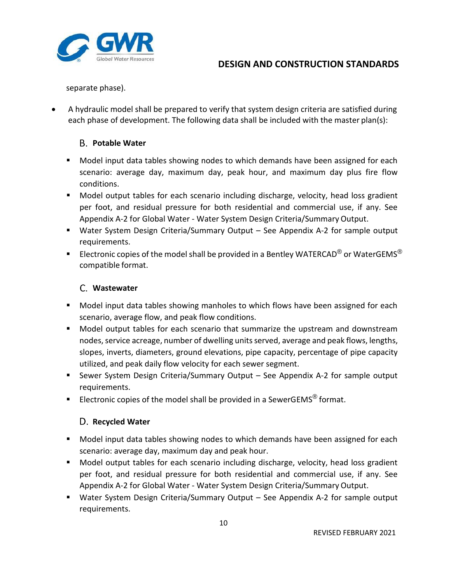

separate phase).

• A hydraulic model shall be prepared to verify that system design criteria are satisfied during each phase of development. The following data shall be included with the master plan(s):

# **Potable Water**

- <span id="page-9-0"></span>■ Model input data tables showing nodes to which demands have been assigned for each scenario: average day, maximum day, peak hour, and maximum day plus fire flow conditions.
- Model output tables for each scenario including discharge, velocity, head loss gradient per foot, and residual pressure for both residential and commercial use, if any. See Appendix A‐2 for Global Water ‐ Water System Design Criteria/Summary Output.
- Water System Design Criteria/Summary Output See Appendix A-2 for sample output requirements.
- **Electronic copies of the model shall be provided in a Bentley WATERCAD<sup>®</sup> or WaterGEMS<sup>®</sup>** compatible format.

# **Wastewater**

- <span id="page-9-1"></span>■ Model input data tables showing manholes to which flows have been assigned for each scenario, average flow, and peak flow conditions.
- Model output tables for each scenario that summarize the upstream and downstream nodes, service acreage, number of dwelling units served, average and peak flows, lengths, slopes, inverts, diameters, ground elevations, pipe capacity, percentage of pipe capacity utilized, and peak daily flow velocity for each sewer segment.
- Sewer System Design Criteria/Summary Output See Appendix A-2 for sample output requirements.
- **Electronic copies of the model shall be provided in a SewerGEMS<sup>®</sup> format.**

# D. Recycled Water

- <span id="page-9-2"></span>■ Model input data tables showing nodes to which demands have been assigned for each scenario: average day, maximum day and peak hour.
- Model output tables for each scenario including discharge, velocity, head loss gradient per foot, and residual pressure for both residential and commercial use, if any. See Appendix A‐2 for Global Water ‐ Water System Design Criteria/Summary Output.
- Water System Design Criteria/Summary Output See Appendix A-2 for sample output requirements.

10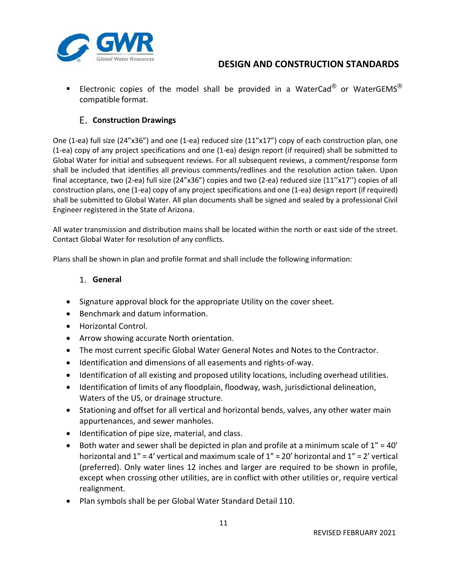

**Electronic copies of the model shall be provided in a WaterCad<sup>®</sup> or WaterGEMS<sup>®</sup>** compatible format.

#### **Construction Drawings**

<span id="page-10-0"></span>One (1‐ea) full size (24"x36") and one (1‐ea) reduced size (11"x17") copy of each construction plan, one (1‐ea) copy of any project specifications and one (1‐ea) design report (if required) shall be submitted to Global Water for initial and subsequent reviews. For all subsequent reviews, a comment/response form shall be included that identifies all previous comments/redlines and the resolution action taken. Upon final acceptance, two (2‐ea) full size (24"x36") copies and two (2‐ea) reduced size (11''x17'') copies of all construction plans, one (1‐ea) copy of any project specifications and one (1‐ea) design report (if required) shall be submitted to Global Water. All plan documents shall be signed and sealed by a professional Civil Engineer registered in the State of Arizona.

All water transmission and distribution mains shall be located within the north or east side of the street. Contact Global Water for resolution of any conflicts.

<span id="page-10-1"></span>Plans shall be shown in plan and profile format and shall include the following information:

#### **General**

- Signature approval block for the appropriate Utility on the cover sheet.
- Benchmark and datum information.
- Horizontal Control.
- Arrow showing accurate North orientation.
- The most current specific Global Water General Notes and Notes to the Contractor.
- Identification and dimensions of all easements and rights‐of‐way.
- Identification of all existing and proposed utility locations, including overhead utilities.
- Identification of limits of any floodplain, floodway, wash, jurisdictional delineation, Waters of the US, or drainage structure.
- Stationing and offset for all vertical and horizontal bends, valves, any other water main appurtenances, and sewer manholes.
- Identification of pipe size, material, and class.
- Both water and sewer shall be depicted in plan and profile at a minimum scale of  $1'' = 40'$ horizontal and  $1'' = 4'$  vertical and maximum scale of  $1'' = 20'$  horizontal and  $1'' = 2'$  vertical (preferred). Only water lines 12 inches and larger are required to be shown in profile, except when crossing other utilities, are in conflict with other utilities or, require vertical realignment.
- Plan symbols shall be per Global Water Standard Detail 110.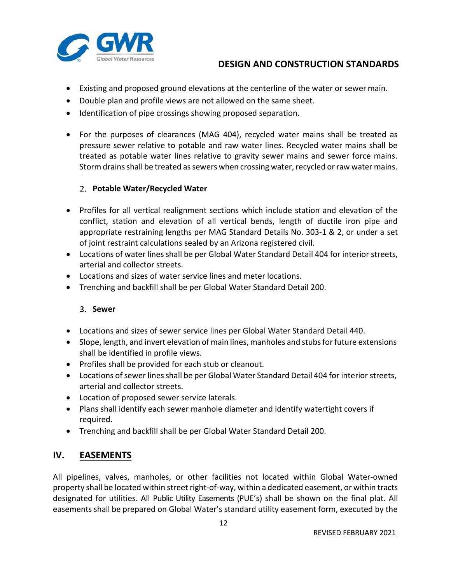

- Existing and proposed ground elevations at the centerline of the water or sewer main.
- Double plan and profile views are not allowed on the same sheet.
- Identification of pipe crossings showing proposed separation.
- For the purposes of clearances (MAG 404), recycled water mains shall be treated as pressure sewer relative to potable and raw water lines. Recycled water mains shall be treated as potable water lines relative to gravity sewer mains and sewer force mains. Storm drains shall be treated as sewers when crossing water, recycled or raw water mains.

#### **Potable Water/Recycled Water**

- <span id="page-11-0"></span>• Profiles for all vertical realignment sections which include station and elevation of the conflict, station and elevation of all vertical bends, length of ductile iron pipe and appropriate restraining lengths per MAG Standard Details No. 303‐1 & 2, or under a set of joint restraint calculations sealed by an Arizona registered civil.
- Locations of water lines shall be per Global Water Standard Detail 404 for interior streets, arterial and collector streets.
- Locations and sizes of water service lines and meter locations.
- <span id="page-11-1"></span>• Trenching and backfill shall be per Global Water Standard Detail 200.

#### **Sewer**

- Locations and sizes of sewer service lines per Global Water Standard Detail 440.
- Slope, length, and invert elevation of main lines, manholes and stubs for future extensions shall be identified in profile views.
- Profiles shall be provided for each stub or cleanout.
- Locations of sewer lines shall be per Global Water Standard Detail 404 for interior streets, arterial and collector streets.
- Location of proposed sewer service laterals.
- Plans shall identify each sewer manhole diameter and identify watertight covers if required.
- Trenching and backfill shall be per Global Water Standard Detail 200.

# <span id="page-11-2"></span>**IV. EASEMENTS**

All pipelines, valves, manholes, or other facilities not located within Global Water‐owned property shall be located within street right‐of‐way, within a dedicated easement, or within tracts designated for utilities. All Public Utility Easements (PUE's) shall be shown on the final plat. All easements shall be prepared on Global Water's standard utility easement form, executed by the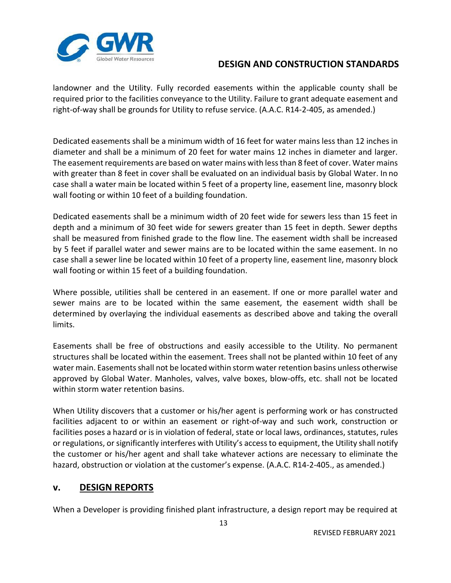

landowner and the Utility. Fully recorded easements within the applicable county shall be required prior to the facilities conveyance to the Utility. Failure to grant adequate easement and right‐of‐way shall be grounds for Utility to refuse service. (A.A.C. R14‐2‐405, as amended.)

Dedicated easements shall be a minimum width of 16 feet for water mains less than 12 inches in diameter and shall be a minimum of 20 feet for water mains 12 inches in diameter and larger. The easement requirements are based on water mains with less than 8 feet of cover. Water mains with greater than 8 feet in cover shall be evaluated on an individual basis by Global Water. In no case shall a water main be located within 5 feet of a property line, easement line, masonry block wall footing or within 10 feet of a building foundation.

Dedicated easements shall be a minimum width of 20 feet wide for sewers less than 15 feet in depth and a minimum of 30 feet wide for sewers greater than 15 feet in depth. Sewer depths shall be measured from finished grade to the flow line. The easement width shall be increased by 5 feet if parallel water and sewer mains are to be located within the same easement. In no case shall a sewer line be located within 10 feet of a property line, easement line, masonry block wall footing or within 15 feet of a building foundation.

Where possible, utilities shall be centered in an easement. If one or more parallel water and sewer mains are to be located within the same easement, the easement width shall be determined by overlaying the individual easements as described above and taking the overall limits.

Easements shall be free of obstructions and easily accessible to the Utility. No permanent structures shall be located within the easement. Trees shall not be planted within 10 feet of any water main. Easements shall not be located within storm water retention basins unless otherwise approved by Global Water. Manholes, valves, valve boxes, blow‐offs, etc. shall not be located within storm water retention basins.

When Utility discovers that a customer or his/her agent is performing work or has constructed facilities adjacent to or within an easement or right‐of‐way and such work, construction or facilities poses a hazard or is in violation of federal, state or local laws, ordinances, statutes, rules or regulations, or significantly interferes with Utility's accessto equipment, the Utility shall notify the customer or his/her agent and shall take whatever actions are necessary to eliminate the hazard, obstruction or violation at the customer's expense. (A.A.C. R14-2-405., as amended.)

# <span id="page-12-0"></span>**v. DESIGN REPORTS**

When a Developer is providing finished plant infrastructure, a design report may be required at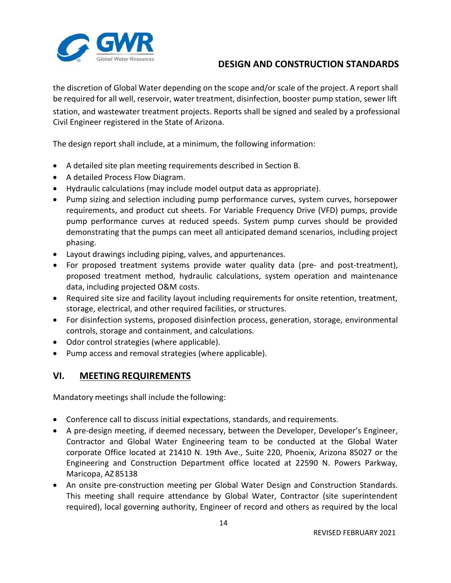

the discretion of Global Water depending on the scope and/or scale of the project. A report shall be required for all well, reservoir, water treatment, disinfection, booster pump station, sewer lift station, and wastewater treatment projects. Reports shall be signed and sealed by a professional Civil Engineer registered in the State of Arizona.

The design report shall include, at a minimum, the following information:

- A detailed site plan meeting requirements described in Section B.
- A detailed Process Flow Diagram.
- Hydraulic calculations (may include model output data as appropriate).
- Pump sizing and selection including pump performance curves, system curves, horsepower requirements, and product cut sheets. For Variable Frequency Drive (VFD) pumps, provide pump performance curves at reduced speeds. System pump curves should be provided demonstrating that the pumps can meet all anticipated demand scenarios, including project phasing.
- Layout drawings including piping, valves, and appurtenances.
- For proposed treatment systems provide water quality data (pre- and post-treatment), proposed treatment method, hydraulic calculations, system operation and maintenance data, including projected O&M costs.
- Required site size and facility layout including requirements for onsite retention, treatment, storage, electrical, and other required facilities, or structures.
- For disinfection systems, proposed disinfection process, generation, storage, environmental controls, storage and containment, and calculations.
- Odor control strategies (where applicable).
- Pump access and removal strategies (where applicable).

# <span id="page-13-0"></span>**VI. MEETING REQUIREMENTS**

Mandatory meetings shall include the following:

- Conference call to discuss initial expectations, standards, and requirements.
- A pre-design meeting, if deemed necessary, between the Developer, Developer's Engineer, Contractor and Global Water Engineering team to be conducted at the Global Water corporate Office located at 21410 N. 19th Ave., Suite 220, Phoenix, Arizona 85027 or the Engineering and Construction Department office located at 22590 N. Powers Parkway, Maricopa, AZ 85138
- An onsite pre-construction meeting per Global Water Design and Construction Standards. This meeting shall require attendance by Global Water, Contractor (site superintendent required), local governing authority, Engineer of record and others as required by the local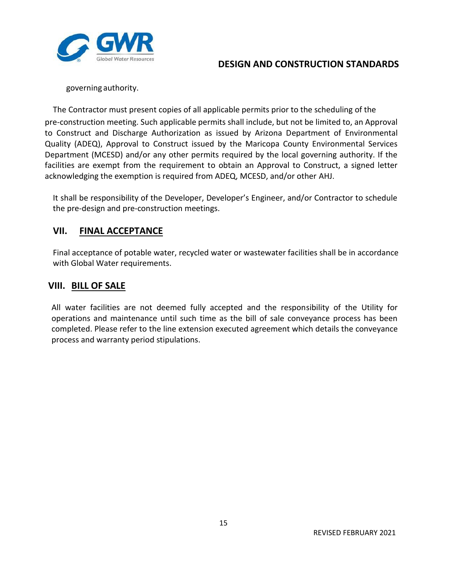

governing authority.

The Contractor must present copies of all applicable permits prior to the scheduling of the pre‐construction meeting. Such applicable permits shall include, but not be limited to, an Approval to Construct and Discharge Authorization as issued by Arizona Department of Environmental Quality (ADEQ), Approval to Construct issued by the Maricopa County Environmental Services Department (MCESD) and/or any other permits required by the local governing authority. If the facilities are exempt from the requirement to obtain an Approval to Construct, a signed letter acknowledging the exemption is required from ADEQ, MCESD, and/or other AHJ.

It shall be responsibility of the Developer, Developer's Engineer, and/or Contractor to schedule the pre‐design and pre‐construction meetings.

# <span id="page-14-0"></span>**VII. FINAL ACCEPTANCE**

Final acceptance of potable water, recycled water or wastewater facilities shall be in accordance with Global Water requirements.

#### <span id="page-14-1"></span>**VIII. BILL OF SALE**

All water facilities are not deemed fully accepted and the responsibility of the Utility for operations and maintenance until such time as the bill of sale conveyance process has been completed. Please refer to the line extension executed agreement which details the conveyance process and warranty period stipulations.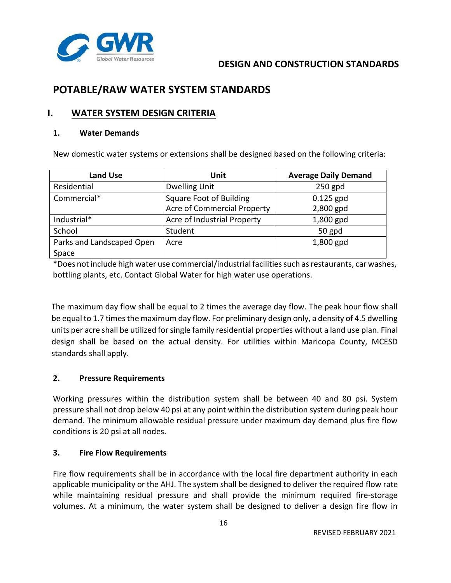

# <span id="page-15-0"></span>**POTABLE/RAW WATER SYSTEM STANDARDS**

#### <span id="page-15-1"></span>**I. WATER SYSTEM DESIGN CRITERIA**

#### <span id="page-15-2"></span>**1. Water Demands**

New domestic water systems or extensions shall be designed based on the following criteria:

| <b>Land Use</b>           | Unit                               | <b>Average Daily Demand</b> |
|---------------------------|------------------------------------|-----------------------------|
| Residential               | <b>Dwelling Unit</b>               | $250$ gpd                   |
| Commercial*               | <b>Square Foot of Building</b>     | $0.125$ gpd                 |
|                           | <b>Acre of Commercial Property</b> | 2,800 gpd                   |
| Industrial*               | Acre of Industrial Property        | 1,800 gpd                   |
| School                    | Student                            | 50 gpd                      |
| Parks and Landscaped Open | Acre                               | 1,800 gpd                   |
| Space                     |                                    |                             |

\*Does not include high water use commercial/industrial facilitiessuch asrestaurants, car washes, bottling plants, etc. Contact Global Water for high water use operations.

The maximum day flow shall be equal to 2 times the average day flow. The peak hour flow shall be equal to 1.7 times the maximum day flow. For preliminary design only, a density of 4.5 dwelling units per acre shall be utilized forsingle family residential properties without a land use plan. Final design shall be based on the actual density. For utilities within Maricopa County, MCESD standards shall apply.

#### <span id="page-15-3"></span>**2. Pressure Requirements**

Working pressures within the distribution system shall be between 40 and 80 psi. System pressure shall not drop below 40 psi at any point within the distribution system during peak hour demand. The minimum allowable residual pressure under maximum day demand plus fire flow conditions is 20 psi at all nodes.

#### <span id="page-15-4"></span>**3. Fire Flow Requirements**

Fire flow requirements shall be in accordance with the local fire department authority in each applicable municipality or the AHJ. The system shall be designed to deliver the required flow rate while maintaining residual pressure and shall provide the minimum required fire-storage volumes. At a minimum, the water system shall be designed to deliver a design fire flow in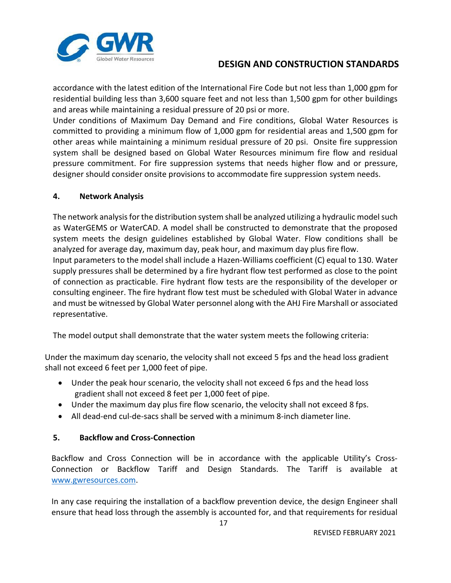



accordance with the latest edition of the International Fire Code but not less than 1,000 gpm for residential building less than 3,600 square feet and not less than 1,500 gpm for other buildings and areas while maintaining a residual pressure of 20 psi or more.

Under conditions of Maximum Day Demand and Fire conditions, Global Water Resources is committed to providing a minimum flow of 1,000 gpm for residential areas and 1,500 gpm for other areas while maintaining a minimum residual pressure of 20 psi. Onsite fire suppression system shall be designed based on Global Water Resources minimum fire flow and residual pressure commitment. For fire suppression systems that needs higher flow and or pressure, designer should consider onsite provisions to accommodate fire suppression system needs.

#### <span id="page-16-0"></span>**4. Network Analysis**

The network analysis for the distribution system shall be analyzed utilizing a hydraulic model such as WaterGEMS or WaterCAD. A model shall be constructed to demonstrate that the proposed system meets the design guidelines established by Global Water. Flow conditions shall be analyzed for average day, maximum day, peak hour, and maximum day plus fire flow. Input parameters to the model shall include a Hazen‐Williams coefficient (C) equal to 130. Water supply pressures shall be determined by a fire hydrant flow test performed as close to the point of connection as practicable. Fire hydrant flow tests are the responsibility of the developer or consulting engineer. The fire hydrant flow test must be scheduled with Global Water in advance and must be witnessed by Global Water personnel along with the AHJ Fire Marshall or associated representative.

The model output shall demonstrate that the water system meets the following criteria:

Under the maximum day scenario, the velocity shall not exceed 5 fps and the head loss gradient shall not exceed 6 feet per 1,000 feet of pipe.

- Under the peak hour scenario, the velocity shall not exceed 6 fps and the head loss gradient shall not exceed 8 feet per 1,000 feet of pipe.
- Under the maximum day plus fire flow scenario, the velocity shall not exceed 8 fps.
- All dead‐end cul‐de‐sacs shall be served with a minimum 8‐inch diameter line.

#### <span id="page-16-1"></span>**5. Backflow and Cross‐Connection**

Backflow and Cross Connection will be in accordance with the applicable Utility's Cross-Connection or Backflow Tariff and Design Standards. The Tariff is available at [www.gwresources.com.](http://www.gwresources.com/)

In any case requiring the installation of a backflow prevention device, the design Engineer shall ensure that head loss through the assembly is accounted for, and that requirements for residual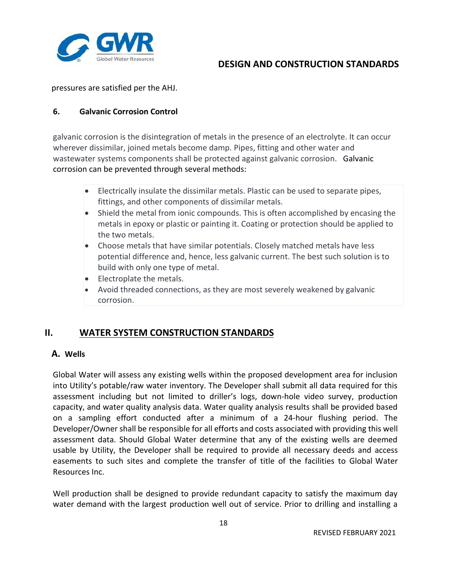

pressures are satisfied per the AHJ.

#### <span id="page-17-0"></span>**6. Galvanic Corrosion Control**

galvanic corrosion is the disintegration of metals in the presence of an electrolyte. It can occur wherever dissimilar, joined metals become damp. Pipes, fitting and other water and wastewater systems components shall be protected against galvanic corrosion. Galvanic corrosion can be prevented through several methods:

- Electrically insulate the dissimilar metals. Plastic can be used to separate pipes, fittings, and other components of dissimilar metals.
- Shield the metal from ionic compounds. This is often accomplished by encasing the metals in epoxy or plastic or painting it. Coating or protection should be applied to the two metals.
- Choose metals that have similar potentials. Closely matched metals have less potential difference and, hence, less galvanic current. The best such solution is to build with only one type of metal.
- Electroplate the metals.
- Avoid threaded connections, as they are most severely weakened by galvanic corrosion.

# <span id="page-17-1"></span>**II. WATER SYSTEM CONSTRUCTION STANDARDS**

#### <span id="page-17-2"></span>**A. Wells**

Global Water will assess any existing wells within the proposed development area for inclusion into Utility's potable/raw water inventory. The Developer shall submit all data required for this assessment including but not limited to driller's logs, down‐hole video survey, production capacity, and water quality analysis data. Water quality analysis results shall be provided based on a sampling effort conducted after a minimum of a 24‐hour flushing period. The Developer/Owner shall be responsible for all efforts and costs associated with providing this well assessment data. Should Global Water determine that any of the existing wells are deemed usable by Utility, the Developer shall be required to provide all necessary deeds and access easements to such sites and complete the transfer of title of the facilities to Global Water Resources Inc.

Well production shall be designed to provide redundant capacity to satisfy the maximum day water demand with the largest production well out of service. Prior to drilling and installing a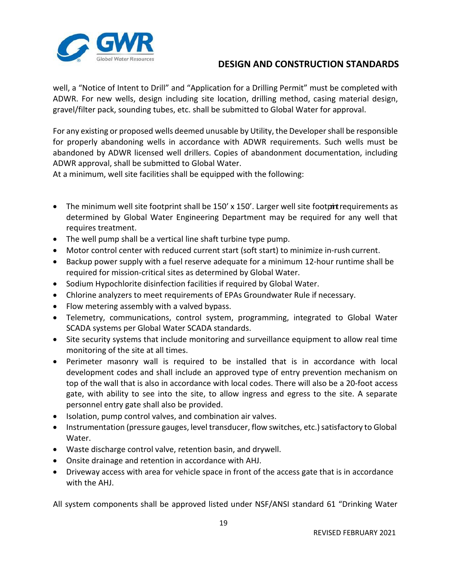

well, a "Notice of Intent to Drill" and "Application for a Drilling Permit" must be completed with ADWR. For new wells, design including site location, drilling method, casing material design, gravel/filter pack, sounding tubes, etc. shall be submitted to Global Water for approval.

For any existing or proposed wells deemed unusable by Utility, the Developershall be responsible for properly abandoning wells in accordance with ADWR requirements. Such wells must be abandoned by ADWR licensed well drillers. Copies of abandonment documentation, including ADWR approval, shall be submitted to Global Water.

At a minimum, well site facilities shall be equipped with the following:

- The minimum well site footprint shall be 150' x 150'. Larger well site footprit requirements as determined by Global Water Engineering Department may be required for any well that requires treatment.
- The well pump shall be a vertical line shaft turbine type pump.
- Motor control center with reduced current start (soft start) to minimize in-rush current.
- Backup power supply with a fuel reserve adequate for a minimum 12-hour runtime shall be required for mission‐critical sites as determined by Global Water.
- Sodium Hypochlorite disinfection facilities if required by Global Water.
- Chlorine analyzers to meet requirements of EPAs Groundwater Rule if necessary.
- Flow metering assembly with a valved bypass.
- Telemetry, communications, control system, programming, integrated to Global Water SCADA systems per Global Water SCADA standards.
- Site security systems that include monitoring and surveillance equipment to allow real time monitoring of the site at all times.
- Perimeter masonry wall is required to be installed that is in accordance with local development codes and shall include an approved type of entry prevention mechanism on top of the wall that is also in accordance with local codes. There will also be a 20‐foot access gate, with ability to see into the site, to allow ingress and egress to the site. A separate personnel entry gate shall also be provided.
- Isolation, pump control valves, and combination air valves.
- Instrumentation (pressure gauges, level transducer, flow switches, etc.) satisfactory to Global Water.
- Waste discharge control valve, retention basin, and drywell.
- Onsite drainage and retention in accordance with AHJ.
- Driveway access with area for vehicle space in front of the access gate that is in accordance with the AHJ.

All system components shall be approved listed under NSF/ANSI standard 61 "Drinking Water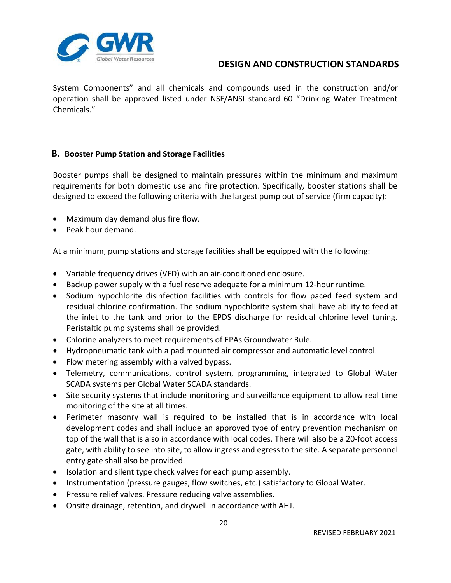

System Components" and all chemicals and compounds used in the construction and/or operation shall be approved listed under NSF/ANSI standard 60 "Drinking Water Treatment Chemicals."

#### <span id="page-19-0"></span>**B. Booster Pump Station and Storage Facilities**

Booster pumps shall be designed to maintain pressures within the minimum and maximum requirements for both domestic use and fire protection. Specifically, booster stations shall be designed to exceed the following criteria with the largest pump out of service (firm capacity):

- Maximum day demand plus fire flow.
- Peak hour demand.

At a minimum, pump stations and storage facilities shall be equipped with the following:

- Variable frequency drives (VFD) with an air-conditioned enclosure.
- Backup power supply with a fuel reserve adequate for a minimum 12-hour runtime.
- Sodium hypochlorite disinfection facilities with controls for flow paced feed system and residual chlorine confirmation. The sodium hypochlorite system shall have ability to feed at the inlet to the tank and prior to the EPDS discharge for residual chlorine level tuning. Peristaltic pump systems shall be provided.
- Chlorine analyzers to meet requirements of EPAs Groundwater Rule.
- Hydropneumatic tank with a pad mounted air compressor and automatic level control.
- Flow metering assembly with a valved bypass.
- Telemetry, communications, control system, programming, integrated to Global Water SCADA systems per Global Water SCADA standards.
- Site security systems that include monitoring and surveillance equipment to allow real time monitoring of the site at all times.
- Perimeter masonry wall is required to be installed that is in accordance with local development codes and shall include an approved type of entry prevention mechanism on top of the wall that is also in accordance with local codes. There will also be a 20‐foot access gate, with ability to see into site, to allow ingress and egress to the site. A separate personnel entry gate shall also be provided.
- Isolation and silent type check valves for each pump assembly.
- Instrumentation (pressure gauges, flow switches, etc.) satisfactory to Global Water.
- Pressure relief valves. Pressure reducing valve assemblies.
- Onsite drainage, retention, and drywell in accordance with AHJ.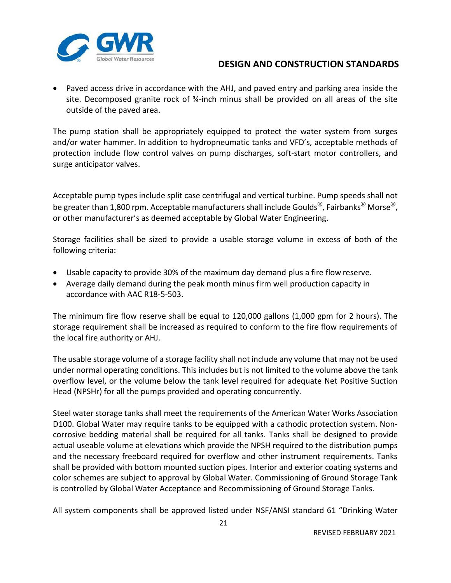

• Paved access drive in accordance with the AHJ, and paved entry and parking area inside the site. Decomposed granite rock of ¾‐inch minus shall be provided on all areas of the site outside of the paved area.

The pump station shall be appropriately equipped to protect the water system from surges and/or water hammer. In addition to hydropneumatic tanks and VFD's, acceptable methods of protection include flow control valves on pump discharges, soft‐start motor controllers, and surge anticipator valves.

Acceptable pump types include split case centrifugal and vertical turbine. Pump speeds shall not be greater than 1,800 rpm. Acceptable manufacturers shall include Goulds<sup>®</sup>, Fairbanks<sup>®</sup> Morse<sup>®</sup>, or other manufacturer's as deemed acceptable by Global Water Engineering.

Storage facilities shall be sized to provide a usable storage volume in excess of both of the following criteria:

- Usable capacity to provide 30% of the maximum day demand plus a fire flow reserve.
- Average daily demand during the peak month minus firm well production capacity in accordance with AAC R18‐5‐503.

The minimum fire flow reserve shall be equal to 120,000 gallons (1,000 gpm for 2 hours). The storage requirement shall be increased as required to conform to the fire flow requirements of the local fire authority or AHJ.

The usable storage volume of a storage facility shall not include any volume that may not be used under normal operating conditions. This includes but is not limited to the volume above the tank overflow level, or the volume below the tank level required for adequate Net Positive Suction Head (NPSHr) for all the pumps provided and operating concurrently.

Steel water storage tanks shall meet the requirements of the American Water Works Association D100. Global Water may require tanks to be equipped with a cathodic protection system. Non‐ corrosive bedding material shall be required for all tanks. Tanks shall be designed to provide actual useable volume at elevations which provide the NPSH required to the distribution pumps and the necessary freeboard required for overflow and other instrument requirements. Tanks shall be provided with bottom mounted suction pipes. Interior and exterior coating systems and color schemes are subject to approval by Global Water. Commissioning of Ground Storage Tank is controlled by Global Water Acceptance and Recommissioning of Ground Storage Tanks.

All system components shall be approved listed under NSF/ANSI standard 61 "Drinking Water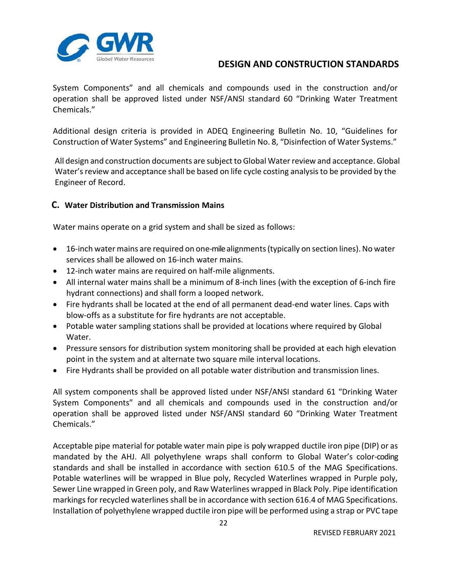

System Components" and all chemicals and compounds used in the construction and/or operation shall be approved listed under NSF/ANSI standard 60 "Drinking Water Treatment Chemicals."

Additional design criteria is provided in ADEQ Engineering Bulletin No. 10, "Guidelines for Construction of Water Systems" and Engineering Bulletin No. 8, "Disinfection of Water Systems."

All design and construction documents are subject to Global Waterreview and acceptance. Global Water's review and acceptance shall be based on life cycle costing analysis to be provided by the Engineer of Record.

#### <span id="page-21-0"></span>**C. Water Distribution and Transmission Mains**

Water mains operate on a grid system and shall be sized as follows:

- 16-inch water mains are required on one-mile alignments (typically on section lines). No water services shall be allowed on 16‐inch water mains.
- 12-inch water mains are required on half-mile alignments.
- All internal water mains shall be a minimum of 8-inch lines (with the exception of 6-inch fire hydrant connections) and shall form a looped network.
- Fire hydrants shall be located at the end of all permanent dead-end water lines. Caps with blow‐offs as a substitute for fire hydrants are not acceptable.
- Potable water sampling stations shall be provided at locations where required by Global Water.
- Pressure sensors for distribution system monitoring shall be provided at each high elevation point in the system and at alternate two square mile interval locations.
- Fire Hydrants shall be provided on all potable water distribution and transmission lines.

All system components shall be approved listed under NSF/ANSI standard 61 "Drinking Water System Components" and all chemicals and compounds used in the construction and/or operation shall be approved listed under NSF/ANSI standard 60 "Drinking Water Treatment Chemicals."

Acceptable pipe material for potable water main pipe is poly wrapped ductile iron pipe (DIP) or as mandated by the AHJ. All polyethylene wraps shall conform to Global Water's color-coding standards and shall be installed in accordance with section 610.5 of the MAG Specifications. Potable waterlines will be wrapped in Blue poly, Recycled Waterlines wrapped in Purple poly, Sewer Line wrapped in Green poly, and Raw Waterlines wrapped in Black Poly. Pipe identification markings for recycled waterlines shall be in accordance with section 616.4 of MAG Specifications. Installation of polyethylene wrapped ductile iron pipe will be performed using a strap or PVC tape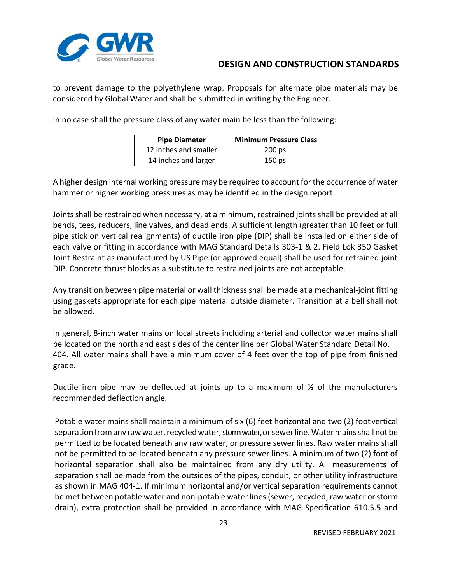

to prevent damage to the polyethylene wrap. Proposals for alternate pipe materials may be considered by Global Water and shall be submitted in writing by the Engineer.

In no case shall the pressure class of any water main be less than the following:

| <b>Pipe Diameter</b>  | <b>Minimum Pressure Class</b> |
|-----------------------|-------------------------------|
| 12 inches and smaller | 200 psi                       |
| 14 inches and larger  | 150 psi                       |

A higher design internal working pressure may be required to account for the occurrence of water hammer or higher working pressures as may be identified in the design report.

Joints shall be restrained when necessary, at a minimum, restrained joints shall be provided at all bends, tees, reducers, line valves, and dead ends. A sufficient length (greater than 10 feet or full pipe stick on vertical realignments) of ductile iron pipe (DIP) shall be installed on either side of each valve or fitting in accordance with MAG Standard Details 303‐1 & 2. Field Lok 350 Gasket Joint Restraint as manufactured by US Pipe (or approved equal) shall be used for retrained joint DIP. Concrete thrust blocks as a substitute to restrained joints are not acceptable.

Any transition between pipe material or wall thickness shall be made at a mechanical‐joint fitting using gaskets appropriate for each pipe material outside diameter. Transition at a bell shall not be allowed.

In general, 8‐inch water mains on local streets including arterial and collector water mains shall be located on the north and east sides of the center line per Global Water Standard Detail No. 404. All water mains shall have a minimum cover of 4 feet over the top of pipe from finished grade.

Ductile iron pipe may be deflected at joints up to a maximum of  $\frac{1}{2}$  of the manufacturers recommended deflection angle.

Potable water mains shall maintain a minimum of six (6) feet horizontal and two (2) footvertical separation from any raw water, recycled water, storm water, or sewer line. Water mains shall not be permitted to be located beneath any raw water, or pressure sewer lines. Raw water mains shall not be permitted to be located beneath any pressure sewer lines. A minimum of two (2) foot of horizontal separation shall also be maintained from any dry utility. All measurements of separation shall be made from the outsides of the pipes, conduit, or other utility infrastructure as shown in MAG 404‐1. If minimum horizontal and/or vertical separation requirements cannot be met between potable water and non‐potable water lines(sewer, recycled, raw water or storm drain), extra protection shall be provided in accordance with MAG Specification 610.5.5 and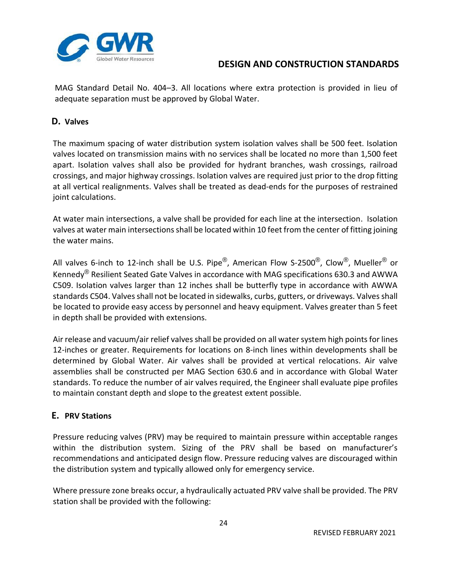

MAG Standard Detail No. 404–3. All locations where extra protection is provided in lieu of adequate separation must be approved by Global Water.

#### <span id="page-23-0"></span>**D. Valves**

The maximum spacing of water distribution system isolation valves shall be 500 feet. Isolation valves located on transmission mains with no services shall be located no more than 1,500 feet apart. Isolation valves shall also be provided for hydrant branches, wash crossings, railroad crossings, and major highway crossings. Isolation valves are required just prior to the drop fitting at all vertical realignments. Valves shall be treated as dead‐ends for the purposes of restrained joint calculations.

At water main intersections, a valve shall be provided for each line at the intersection. Isolation valves at water main intersections shall be located within 10 feet from the center of fitting joining the water mains.

All valves 6-inch to 12-inch shall be U.S. Pipe<sup>®</sup>, American Flow S-2500<sup>®</sup>, Clow<sup>®</sup>, Mueller<sup>®</sup> or Kennedy<sup>®</sup> Resilient Seated Gate Valves in accordance with MAG specifications 630.3 and AWWA C509. Isolation valves larger than 12 inches shall be butterfly type in accordance with AWWA standards C504. Valves shall not be located in sidewalks, curbs, gutters, or driveways. Valves shall be located to provide easy access by personnel and heavy equipment. Valves greater than 5 feet in depth shall be provided with extensions.

Air release and vacuum/air relief valves shall be provided on all water system high points for lines 12-inches or greater. Requirements for locations on 8-inch lines within developments shall be determined by Global Water. Air valves shall be provided at vertical relocations. Air valve assemblies shall be constructed per MAG Section 630.6 and in accordance with Global Water standards. To reduce the number of air valves required, the Engineer shall evaluate pipe profiles to maintain constant depth and slope to the greatest extent possible.

# <span id="page-23-1"></span>**E. PRV Stations**

Pressure reducing valves (PRV) may be required to maintain pressure within acceptable ranges within the distribution system. Sizing of the PRV shall be based on manufacturer's recommendations and anticipated design flow. Pressure reducing valves are discouraged within the distribution system and typically allowed only for emergency service.

Where pressure zone breaks occur, a hydraulically actuated PRV valve shall be provided. The PRV station shall be provided with the following: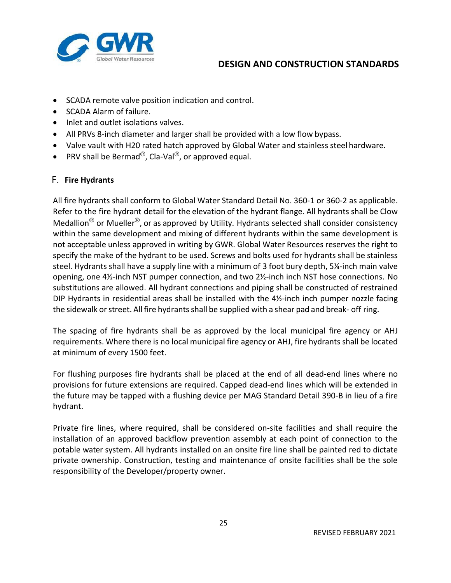

- SCADA remote valve position indication and control.
- SCADA Alarm of failure.
- Inlet and outlet isolations valves.
- All PRVs 8-inch diameter and larger shall be provided with a low flow bypass.
- Valve vault with H20 rated hatch approved by Global Water and stainless steel hardware.
- PRV shall be Bermad<sup>®</sup>, Cla-Val<sup>®</sup>, or approved equal.

#### <span id="page-24-0"></span>**Fire Hydrants**

All fire hydrants shall conform to Global Water Standard Detail No. 360-1 or 360-2 as applicable. Refer to the fire hydrant detail for the elevation of the hydrant flange. All hydrants shall be Clow Medallion<sup>®</sup> or Mueller<sup>®</sup>, or as approved by Utility. Hydrants selected shall consider consistency within the same development and mixing of different hydrants within the same development is not acceptable unless approved in writing by GWR. Global Water Resources reserves the right to specify the make of the hydrant to be used. Screws and bolts used for hydrants shall be stainless steel. Hydrants shall have a supply line with a minimum of 3 foot bury depth, 5¼‐inch main valve opening, one 4½‐inch NST pumper connection, and two 2½‐inch inch NST hose connections. No substitutions are allowed. All hydrant connections and piping shall be constructed of restrained DIP Hydrants in residential areas shall be installed with the 4½-inch inch pumper nozzle facing the sidewalk or street. All fire hydrants shall be supplied with a shear pad and break- off ring.

The spacing of fire hydrants shall be as approved by the local municipal fire agency or AHJ requirements. Where there is no local municipal fire agency or AHJ, fire hydrants shall be located at minimum of every 1500 feet.

For flushing purposes fire hydrants shall be placed at the end of all dead-end lines where no provisions for future extensions are required. Capped dead-end lines which will be extended in the future may be tapped with a flushing device per MAG Standard Detail 390‐B in lieu of a fire hydrant.

Private fire lines, where required, shall be considered on‐site facilities and shall require the installation of an approved backflow prevention assembly at each point of connection to the potable water system. All hydrants installed on an onsite fire line shall be painted red to dictate private ownership. Construction, testing and maintenance of onsite facilities shall be the sole responsibility of the Developer/property owner.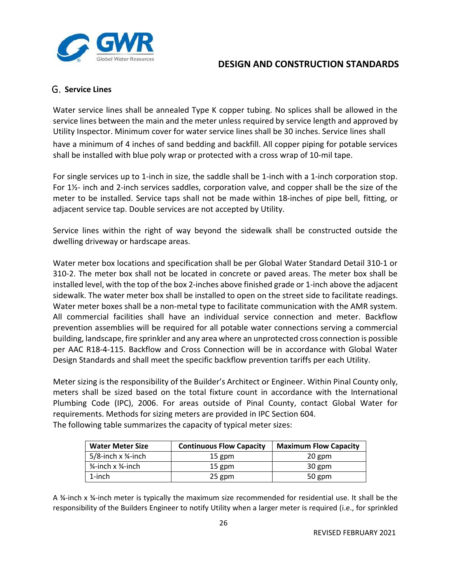

#### <span id="page-25-0"></span>**Service Lines**

Water service lines shall be annealed Type K copper tubing. No splices shall be allowed in the service lines between the main and the meter unless required by service length and approved by Utility Inspector. Minimum cover for water service lines shall be 30 inches. Service lines shall have a minimum of 4 inches of sand bedding and backfill. All copper piping for potable services shall be installed with blue poly wrap or protected with a cross wrap of 10‐mil tape.

For single services up to 1‐inch in size, the saddle shall be 1‐inch with a 1‐inch corporation stop. For 1½‐ inch and 2‐inch services saddles, corporation valve, and copper shall be the size of the meter to be installed. Service taps shall not be made within 18-inches of pipe bell, fitting, or adjacent service tap. Double services are not accepted by Utility.

Service lines within the right of way beyond the sidewalk shall be constructed outside the dwelling driveway or hardscape areas.

Water meter box locations and specification shall be per Global Water Standard Detail 310‐1 or 310-2. The meter box shall not be located in concrete or paved areas. The meter box shall be installed level, with the top of the box 2‐inches above finished grade or 1‐inch above the adjacent sidewalk. The water meter box shall be installed to open on the street side to facilitate readings. Water meter boxes shall be a non-metal type to facilitate communication with the AMR system. All commercial facilities shall have an individual service connection and meter. Backflow prevention assemblies will be required for all potable water connections serving a commercial building, landscape, fire sprinkler and any area where an unprotected cross connection is possible per AAC R18‐4‐115. Backflow and Cross Connection will be in accordance with Global Water Design Standards and shall meet the specific backflow prevention tariffs per each Utility.

Meter sizing is the responsibility of the Builder's Architect or Engineer. Within Pinal County only, meters shall be sized based on the total fixture count in accordance with the International Plumbing Code (IPC), 2006. For areas outside of Pinal County, contact Global Water for requirements. Methods for sizing meters are provided in IPC Section 604. The following table summarizes the capacity of typical meter sizes:

| <b>Water Meter Size</b>                   | <b>Continuous Flow Capacity</b> | <b>Maximum Flow Capacity</b> |  |  |
|-------------------------------------------|---------------------------------|------------------------------|--|--|
| 5/8-inch $x$ $\frac{3}{4}$ -inch          | 15 gpm                          | 20 gpm                       |  |  |
| $\frac{3}{4}$ -inch x $\frac{3}{4}$ -inch | 15 gpm                          | 30 gpm                       |  |  |
| 1-inch                                    | 25 gpm                          | 50 gpm                       |  |  |

A ¾‐inch x ¾‐inch meter is typically the maximum size recommended for residential use. It shall be the responsibility of the Builders Engineer to notify Utility when a larger meter is required (i.e., for sprinkled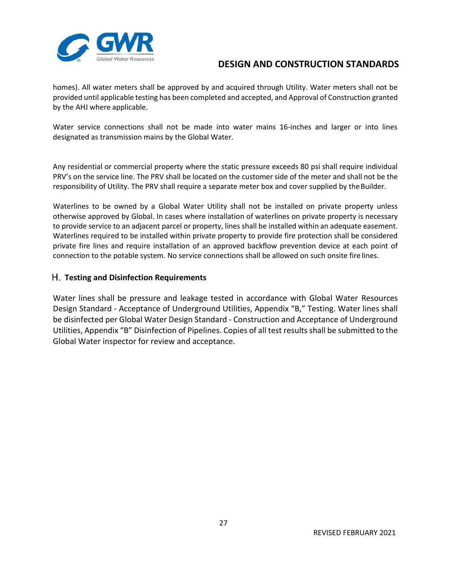

homes). All water meters shall be approved by and acquired through Utility. Water meters shall not be provided until applicable testing has been completed and accepted, and Approval of Construction granted by the AHJ where applicable.

Water service connections shall not be made into water mains 16-inches and larger or into lines designated as transmission mains by the Global Water.

Any residential or commercial property where the static pressure exceeds 80 psi shall require individual PRV's on the service line. The PRV shall be located on the customer side of the meter and shall not be the responsibility of Utility. The PRV shall require a separate meter box and cover supplied by theBuilder.

Waterlines to be owned by a Global Water Utility shall not be installed on private property unless otherwise approved by Global. In cases where installation of waterlines on private property is necessary to provide service to an adjacent parcel or property, lines shall be installed within an adequate easement. Waterlines required to be installed within private property to provide fire protection shall be considered private fire lines and require installation of an approved backflow prevention device at each point of connection to the potable system. No service connections shall be allowed on such onsite fire lines.

#### <span id="page-26-0"></span>**Testing and Disinfection Requirements**

Water lines shall be pressure and leakage tested in accordance with Global Water Resources Design Standard - Acceptance of Underground Utilities, Appendix "B," Testing. Water lines shall be disinfected per Global Water Design Standard ‐ Construction and Acceptance of Underground Utilities, Appendix "B" Disinfection of Pipelines. Copies of all test results shall be submitted to the Global Water inspector for review and acceptance.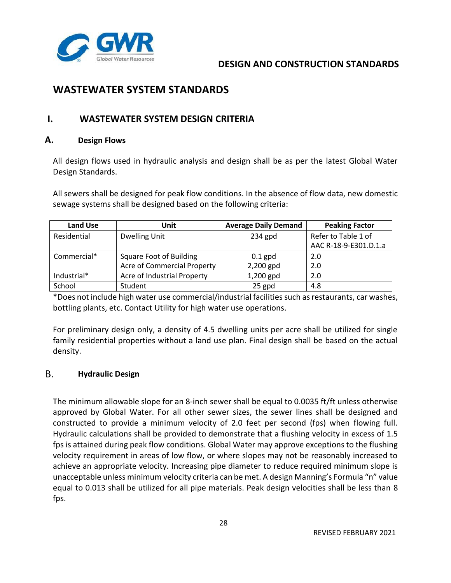

# <span id="page-27-0"></span>**WASTEWATER SYSTEM STANDARDS**

# <span id="page-27-1"></span>**I. WASTEWATER SYSTEM DESIGN CRITERIA**

#### <span id="page-27-2"></span>**A. Design Flows**

All design flows used in hydraulic analysis and design shall be as per the latest Global Water Design Standards.

All sewers shall be designed for peak flow conditions. In the absence of flow data, new domestic sewage systems shall be designed based on the following criteria:

| <b>Land Use</b> | Unit                               | <b>Average Daily Demand</b> | <b>Peaking Factor</b> |
|-----------------|------------------------------------|-----------------------------|-----------------------|
| Residential     | <b>Dwelling Unit</b>               | $234$ gpd                   | Refer to Table 1 of   |
|                 |                                    |                             | AAC R-18-9-E301.D.1.a |
| Commercial*     | <b>Square Foot of Building</b>     | $0.1$ gpd                   | 2.0                   |
|                 | <b>Acre of Commercial Property</b> | 2,200 gpd                   | 2.0                   |
| Industrial*     | Acre of Industrial Property        | $1,200$ gpd                 | 2.0                   |
| School          | Student                            | 25 gpd                      | 4.8                   |

\*Does not include high water use commercial/industrial facilitiessuch asrestaurants, car washes, bottling plants, etc. Contact Utility for high water use operations.

For preliminary design only, a density of 4.5 dwelling units per acre shall be utilized for single family residential properties without a land use plan. Final design shall be based on the actual density.

#### <span id="page-27-3"></span>**B. Hydraulic Design**

The minimum allowable slope for an 8‐inch sewer shall be equal to 0.0035 ft/ft unless otherwise approved by Global Water. For all other sewer sizes, the sewer lines shall be designed and constructed to provide a minimum velocity of 2.0 feet per second (fps) when flowing full. Hydraulic calculations shall be provided to demonstrate that a flushing velocity in excess of 1.5 fps is attained during peak flow conditions. Global Water may approve exceptions to the flushing velocity requirement in areas of low flow, or where slopes may not be reasonably increased to achieve an appropriate velocity. Increasing pipe diameter to reduce required minimum slope is unacceptable unless minimum velocity criteria can be met. A design Manning's Formula "n" value equal to 0.013 shall be utilized for all pipe materials. Peak design velocities shall be less than 8 fps.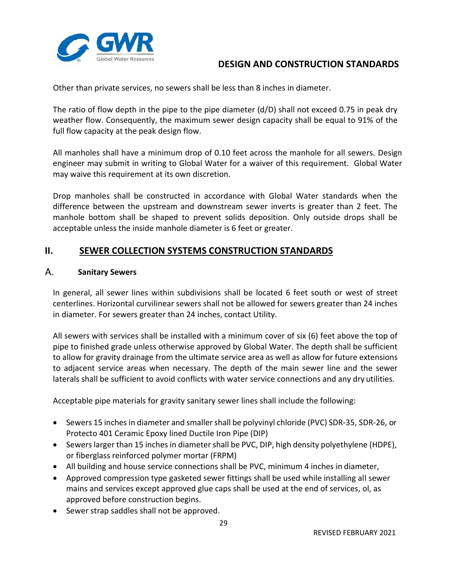



Other than private services, no sewers shall be less than 8 inches in diameter.

The ratio of flow depth in the pipe to the pipe diameter  $(d/D)$  shall not exceed 0.75 in peak dry weather flow. Consequently, the maximum sewer design capacity shall be equal to 91% of the full flow capacity at the peak design flow.

All manholes shall have a minimum drop of 0.10 feet across the manhole for all sewers. Design engineer may submit in writing to Global Water for a waiver of this requirement. Global Water may waive this requirement at its own discretion.

Drop manholes shall be constructed in accordance with Global Water standards when the difference between the upstream and downstream sewer inverts is greater than 2 feet. The manhole bottom shall be shaped to prevent solids deposition. Only outside drops shall be acceptable unless the inside manhole diameter is 6 feet or greater.

# <span id="page-28-0"></span>**II. SEWER COLLECTION SYSTEMS CONSTRUCTION STANDARDS**

#### <span id="page-28-1"></span>A. **Sanitary Sewers**

In general, all sewer lines within subdivisions shall be located 6 feet south or west of street centerlines. Horizontal curvilinear sewers shall not be allowed for sewers greater than 24 inches in diameter. For sewers greater than 24 inches, contact Utility.

All sewers with services shall be installed with a minimum cover of six (6) feet above the top of pipe to finished grade unless otherwise approved by Global Water. The depth shall be sufficient to allow for gravity drainage from the ultimate service area as well as allow for future extensions to adjacent service areas when necessary. The depth of the main sewer line and the sewer laterals shall be sufficient to avoid conflicts with water service connections and any dry utilities.

Acceptable pipe materials for gravity sanitary sewer lines shall include the following:

- Sewers 15 inches in diameter and smaller shall be polyvinyl chloride (PVC) SDR-35, SDR-26, or Protecto 401 Ceramic Epoxy lined Ductile Iron Pipe (DIP)
- Sewers larger than 15 inches in diameter shall be PVC, DIP, high density polyethylene (HDPE), or fiberglass reinforced polymer mortar (FRPM)
- All building and house service connections shall be PVC, minimum 4 inches in diameter,
- Approved compression type gasketed sewer fittings shall be used while installing all sewer mains and services except approved glue caps shall be used at the end of services, ol, as approved before construction begins.
- Sewer strap saddles shall not be approved.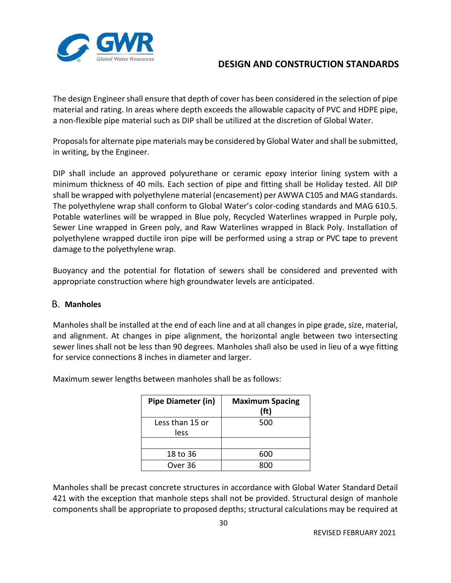

The design Engineer shall ensure that depth of cover has been considered in the selection of pipe material and rating. In areas where depth exceeds the allowable capacity of PVC and HDPE pipe, a non‐flexible pipe material such as DIP shall be utilized at the discretion of Global Water.

Proposals for alternate pipe materials may be considered by Global Water and shall be submitted, in writing, by the Engineer.

DIP shall include an approved polyurethane or ceramic epoxy interior lining system with a minimum thickness of 40 mils. Each section of pipe and fitting shall be Holiday tested. All DIP shall be wrapped with polyethylene material (encasement) per AWWA C105 and MAG standards. The polyethylene wrap shall conform to Global Water's color-coding standards and MAG 610.5. Potable waterlines will be wrapped in Blue poly, Recycled Waterlines wrapped in Purple poly, Sewer Line wrapped in Green poly, and Raw Waterlines wrapped in Black Poly. Installation of polyethylene wrapped ductile iron pipe will be performed using a strap or PVC tape to prevent damage to the polyethylene wrap.

Buoyancy and the potential for flotation of sewers shall be considered and prevented with appropriate construction where high groundwater levels are anticipated.

#### <span id="page-29-0"></span>**Manholes**

Manholes shall be installed at the end of each line and at all changes in pipe grade, size, material, and alignment. At changes in pipe alignment, the horizontal angle between two intersecting sewer lines shall not be less than 90 degrees. Manholes shall also be used in lieu of a wye fitting for service connections 8 inches in diameter and larger.

| <b>Pipe Diameter (in)</b> | <b>Maximum Spacing</b><br>(f <sup>t</sup> ) |
|---------------------------|---------------------------------------------|
| Less than 15 or<br>less   | 500                                         |
|                           |                                             |
| 18 to 36                  | 600                                         |
| Over 36                   |                                             |

Maximum sewer lengths between manholes shall be as follows:

Manholes shall be precast concrete structures in accordance with Global Water Standard Detail 421 with the exception that manhole steps shall not be provided. Structural design of manhole components shall be appropriate to proposed depths; structural calculations may be required at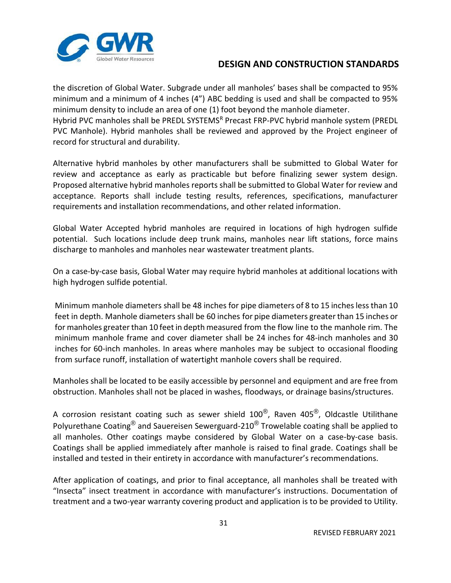

the discretion of Global Water. Subgrade under all manholes' bases shall be compacted to 95% minimum and a minimum of 4 inches (4") ABC bedding is used and shall be compacted to 95% minimum density to include an area of one (1) foot beyond the manhole diameter.

Hybrid PVC manholes shall be PREDL SYSTEMS<sup>R</sup> Precast FRP-PVC hybrid manhole system (PREDL PVC Manhole). Hybrid manholes shall be reviewed and approved by the Project engineer of record for structural and durability.

Alternative hybrid manholes by other manufacturers shall be submitted to Global Water for review and acceptance as early as practicable but before finalizing sewer system design. Proposed alternative hybrid manholes reports shall be submitted to Global Water for review and acceptance. Reports shall include testing results, references, specifications, manufacturer requirements and installation recommendations, and other related information.

Global Water Accepted hybrid manholes are required in locations of high hydrogen sulfide potential. Such locations include deep trunk mains, manholes near lift stations, force mains discharge to manholes and manholes near wastewater treatment plants.

On a case-by-case basis, Global Water may require hybrid manholes at additional locations with high hydrogen sulfide potential.

Minimum manhole diameters shall be 48 inches for pipe diameters of 8 to 15 inches less than 10 feet in depth. Manhole diameters shall be 60 inches for pipe diameters greaterthan 15 inches or for manholes greater than 10 feet in depth measured from the flow line to the manhole rim. The minimum manhole frame and cover diameter shall be 24 inches for 48‐inch manholes and 30 inches for 60‐inch manholes. In areas where manholes may be subject to occasional flooding from surface runoff, installation of watertight manhole covers shall be required.

Manholes shall be located to be easily accessible by personnel and equipment and are free from obstruction. Manholes shall not be placed in washes, floodways, or drainage basins/structures.

A corrosion resistant coating such as sewer shield  $100^{\circ}$ , Raven 405 $^{\circ}$ , Oldcastle Utilithane Polyurethane Coating<sup>®</sup> and Sauereisen Sewerguard-210<sup>®</sup> Trowelable coating shall be applied to all manholes. Other coatings maybe considered by Global Water on a case-by-case basis. Coatings shall be applied immediately after manhole is raised to final grade. Coatings shall be installed and tested in their entirety in accordance with manufacturer's recommendations.

After application of coatings, and prior to final acceptance, all manholes shall be treated with "Insecta" insect treatment in accordance with manufacturer's instructions. Documentation of treatment and a two-year warranty covering product and application is to be provided to Utility.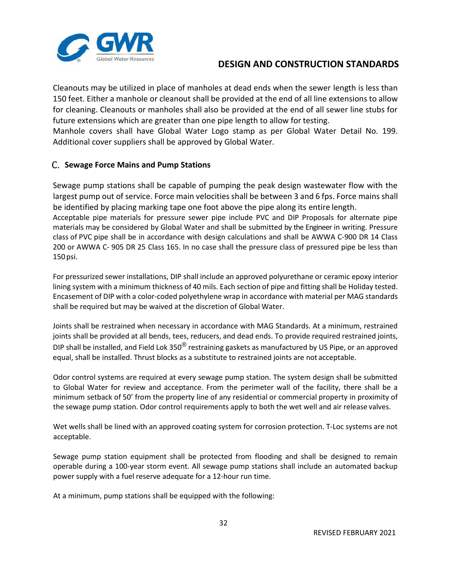

Cleanouts may be utilized in place of manholes at dead ends when the sewer length is less than 150 feet. Either a manhole or cleanout shall be provided at the end of all line extensions to allow for cleaning. Cleanouts or manholes shall also be provided at the end of all sewer line stubs for future extensions which are greater than one pipe length to allow for testing.

Manhole covers shall have Global Water Logo stamp as per Global Water Detail No. 199. Additional cover suppliers shall be approved by Global Water.

#### <span id="page-31-0"></span>**Sewage Force Mains and Pump Stations**

Sewage pump stations shall be capable of pumping the peak design wastewater flow with the largest pump out of service. Force main velocities shall be between 3 and 6 fps. Force mains shall be identified by placing marking tape one foot above the pipe along its entire length. Acceptable pipe materials for pressure sewer pipe include PVC and DIP Proposals for alternate pipe materials may be considered by Global Water and shall be submitted by the Engineer in writing. Pressure

class of PVC pipe shall be in accordance with design calculations and shall be AWWA C‐900 DR 14 Class 200 or AWWA C‐ 905 DR 25 Class 165. In no case shall the pressure class of pressured pipe be less than 150 psi.

For pressurized sewer installations, DIP shall include an approved polyurethane or ceramic epoxy interior lining system with a minimum thickness of 40 mils. Each section of pipe and fitting shall be Holiday tested. Encasement of DIP with a color-coded polyethylene wrap in accordance with material per MAG standards shall be required but may be waived at the discretion of Global Water.

Joints shall be restrained when necessary in accordance with MAG Standards. At a minimum, restrained joints shall be provided at all bends, tees, reducers, and dead ends. To provide required restrained joints, DIP shall be installed, and Field Lok 350<sup>®</sup> restraining gaskets as manufactured by US Pipe, or an approved equal, shall be installed. Thrust blocks as a substitute to restrained joints are not acceptable.

Odor control systems are required at every sewage pump station. The system design shall be submitted to Global Water for review and acceptance. From the perimeter wall of the facility, there shall be a minimum setback of 50' from the property line of any residential or commercial property in proximity of the sewage pump station. Odor control requirements apply to both the wet well and air release valves.

Wet wells shall be lined with an approved coating system for corrosion protection. T‐Loc systems are not acceptable.

Sewage pump station equipment shall be protected from flooding and shall be designed to remain operable during a 100‐year storm event. All sewage pump stations shall include an automated backup power supply with a fuel reserve adequate for a 12‐hour run time.

At a minimum, pump stations shall be equipped with the following: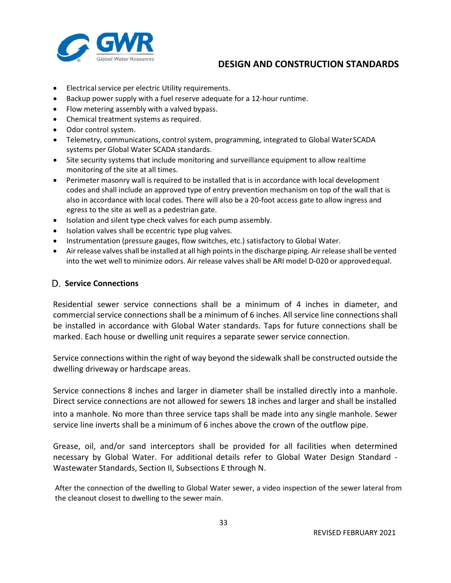

- Electrical service per electric Utility requirements.
- Backup power supply with a fuel reserve adequate for a 12-hour runtime.
- Flow metering assembly with a valved bypass.
- Chemical treatment systems as required.
- Odor control system.
- Telemetry, communications, control system, programming, integrated to Global WaterSCADA systems per Global Water SCADA standards.
- Site security systems that include monitoring and surveillance equipment to allow realtime monitoring of the site at all times.
- Perimeter masonry wall is required to be installed that is in accordance with local development codes and shall include an approved type of entry prevention mechanism on top of the wall that is also in accordance with local codes. There will also be a 20‐foot access gate to allow ingress and egress to the site as well as a pedestrian gate.
- Isolation and silent type check valves for each pump assembly.
- Isolation valves shall be eccentric type plug valves.
- Instrumentation (pressure gauges, flow switches, etc.) satisfactory to Global Water.
- Air release valves shall be installed at all high points in the discharge piping. Air release shall be vented into the wet well to minimize odors. Air release valves shall be ARI model D‐020 or approvedequal.

#### <span id="page-32-0"></span>D. Service Connections

Residential sewer service connections shall be a minimum of 4 inches in diameter, and commercial service connections shall be a minimum of 6 inches. All service line connections shall be installed in accordance with Global Water standards. Taps for future connections shall be marked. Each house or dwelling unit requires a separate sewer service connection.

Service connections within the right of way beyond the sidewalk shall be constructed outside the dwelling driveway or hardscape areas.

Service connections 8 inches and larger in diameter shall be installed directly into a manhole. Direct service connections are not allowed for sewers 18 inches and larger and shall be installed into a manhole. No more than three service taps shall be made into any single manhole. Sewer service line inverts shall be a minimum of 6 inches above the crown of the outflow pipe.

Grease, oil, and/or sand interceptors shall be provided for all facilities when determined necessary by Global Water. For additional details refer to Global Water Design Standard ‐ Wastewater Standards, Section II, Subsections E through N.

After the connection of the dwelling to Global Water sewer, a video inspection of the sewer lateral from the cleanout closest to dwelling to the sewer main.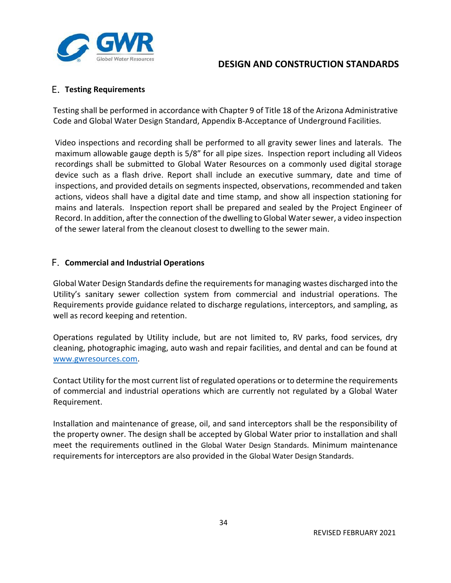

#### <span id="page-33-0"></span>**Testing Requirements**

Testing shall be performed in accordance with Chapter 9 of Title 18 of the Arizona Administrative Code and Global Water Design Standard, Appendix B-Acceptance of Underground Facilities.

Video inspections and recording shall be performed to all gravity sewer lines and laterals. The maximum allowable gauge depth is 5/8" for all pipe sizes. Inspection report including all Videos recordings shall be submitted to Global Water Resources on a commonly used digital storage device such as a flash drive. Report shall include an executive summary, date and time of inspections, and provided details on segments inspected, observations, recommended and taken actions, videos shall have a digital date and time stamp, and show all inspection stationing for mains and laterals. Inspection report shall be prepared and sealed by the Project Engineer of Record. In addition, after the connection of the dwelling to Global Water sewer, a video inspection of the sewer lateral from the cleanout closest to dwelling to the sewer main.

#### <span id="page-33-1"></span>**Commercial and Industrial Operations**

Global Water Design Standards define the requirementsfor managing wastes discharged into the Utility's sanitary sewer collection system from commercial and industrial operations. The Requirements provide guidance related to discharge regulations, interceptors, and sampling, as well as record keeping and retention.

Operations regulated by Utility include, but are not limited to, RV parks, food services, dry cleaning, photographic imaging, auto wash and repair facilities, and dental and can be found at [www.gwresources.com.](http://www.gwresources.com/)

Contact Utility for the most current list of regulated operations or to determine the requirements of commercial and industrial operations which are currently not regulated by a Global Water Requirement.

Installation and maintenance of grease, oil, and sand interceptors shall be the responsibility of the property owner. The design shall be accepted by Global Water prior to installation and shall meet the requirements outlined in the Global Water Design Standards. Minimum maintenance requirements for interceptors are also provided in the Global Water Design Standards.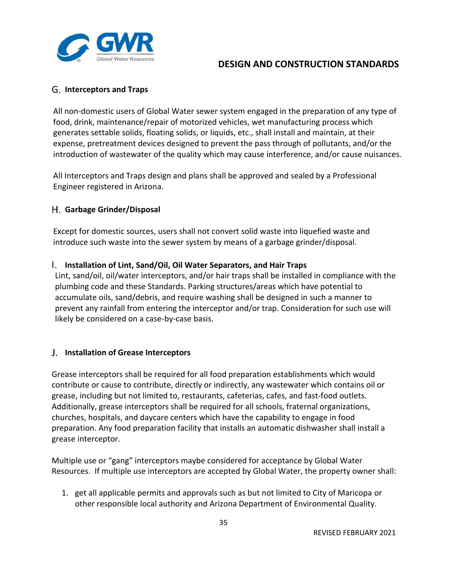



#### <span id="page-34-0"></span>**Interceptors and Traps**

All non-domestic users of Global Water sewer system engaged in the preparation of any type of food, drink, maintenance/repair of motorized vehicles, wet manufacturing process which generates settable solids, floating solids, or liquids, etc., shall install and maintain, at their expense, pretreatment devices designed to prevent the pass through of pollutants, and/or the introduction of wastewater of the quality which may cause interference, and/or cause nuisances.

All Interceptors and Traps design and plans shall be approved and sealed by a Professional Engineer registered in Arizona.

#### <span id="page-34-1"></span>**Garbage Grinder/Disposal**

Except for domestic sources, users shall not convert solid waste into liquefied waste and introduce such waste into the sewer system by means of a garbage grinder/disposal.

#### <span id="page-34-2"></span>**Installation of Lint, Sand/Oil, Oil Water Separators, and Hair Traps**

Lint, sand/oil, oil/water interceptors, and/or hair traps shall be installed in compliance with the plumbing code and these Standards. Parking structures/areas which have potential to accumulate oils, sand/debris, and require washing shall be designed in such a manner to prevent any rainfall from entering the interceptor and/or trap. Consideration for such use will likely be considered on a case-by-case basis.

#### <span id="page-34-3"></span>**Installation of Grease Interceptors**

Grease interceptors shall be required for all food preparation establishments which would contribute or cause to contribute, directly or indirectly, any wastewater which contains oil or grease, including but not limited to, restaurants, cafeterias, cafes, and fast-food outlets. Additionally, grease interceptors shall be required for all schools, fraternal organizations, churches, hospitals, and daycare centers which have the capability to engage in food preparation. Any food preparation facility that installs an automatic dishwasher shall install a grease interceptor.

Multiple use or "gang" interceptors maybe considered for acceptance by Global Water Resources. If multiple use interceptors are accepted by Global Water, the property owner shall:

1. get all applicable permits and approvals such as but not limited to City of Maricopa or other responsible local authority and Arizona Department of Environmental Quality.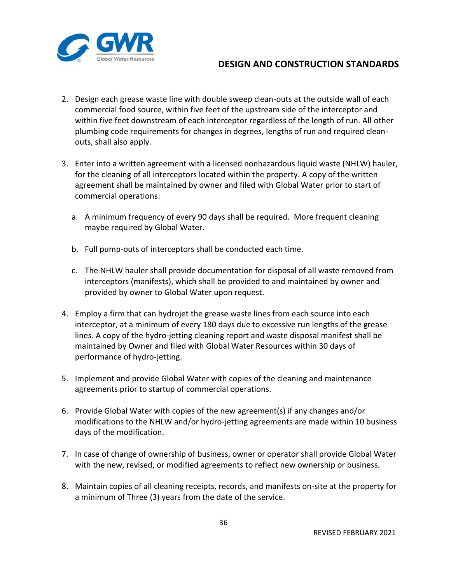

- 2. Design each grease waste line with double sweep clean-outs at the outside wall of each commercial food source, within five feet of the upstream side of the interceptor and within five feet downstream of each interceptor regardless of the length of run. All other plumbing code requirements for changes in degrees, lengths of run and required cleanouts, shall also apply.
- 3. Enter into a written agreement with a licensed nonhazardous liquid waste (NHLW) hauler, for the cleaning of all interceptors located within the property. A copy of the written agreement shall be maintained by owner and filed with Global Water prior to start of commercial operations:
	- a. A minimum frequency of every 90 days shall be required. More frequent cleaning maybe required by Global Water.
	- b. Full pump-outs of interceptors shall be conducted each time.
	- c. The NHLW hauler shall provide documentation for disposal of all waste removed from interceptors (manifests), which shall be provided to and maintained by owner and provided by owner to Global Water upon request.
- 4. Employ a firm that can hydrojet the grease waste lines from each source into each interceptor, at a minimum of every 180 days due to excessive run lengths of the grease lines. A copy of the hydro-jetting cleaning report and waste disposal manifest shall be maintained by Owner and filed with Global Water Resources within 30 days of performance of hydro-jetting.
- 5. Implement and provide Global Water with copies of the cleaning and maintenance agreements prior to startup of commercial operations.
- 6. Provide Global Water with copies of the new agreement(s) if any changes and/or modifications to the NHLW and/or hydro-jetting agreements are made within 10 business days of the modification.
- 7. In case of change of ownership of business, owner or operator shall provide Global Water with the new, revised, or modified agreements to reflect new ownership or business.
- 8. Maintain copies of all cleaning receipts, records, and manifests on-site at the property for a minimum of Three (3) years from the date of the service.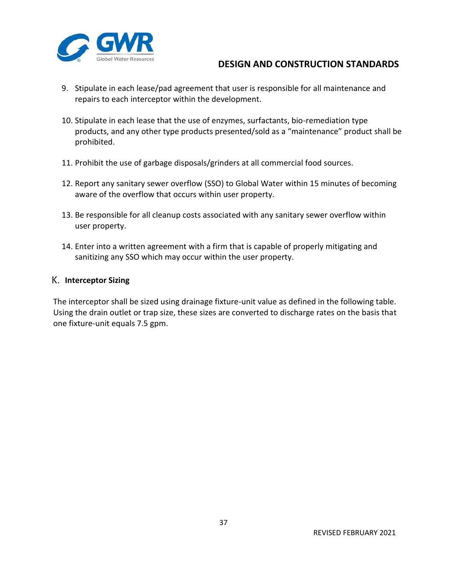

- 9. Stipulate in each lease/pad agreement that user is responsible for all maintenance and repairs to each interceptor within the development.
- 10. Stipulate in each lease that the use of enzymes, surfactants, bio-remediation type products, and any other type products presented/sold as a "maintenance" product shall be prohibited.
- 11. Prohibit the use of garbage disposals/grinders at all commercial food sources.
- 12. Report any sanitary sewer overflow (SSO) to Global Water within 15 minutes of becoming aware of the overflow that occurs within user property.
- 13. Be responsible for all cleanup costs associated with any sanitary sewer overflow within user property.
- 14. Enter into a written agreement with a firm that is capable of properly mitigating and sanitizing any SSO which may occur within the user property.

#### <span id="page-36-0"></span>**Interceptor Sizing**

The interceptor shall be sized using drainage fixture-unit value as defined in the following table. Using the drain outlet or trap size, these sizes are converted to discharge rates on the basis that one fixture-unit equals 7.5 gpm.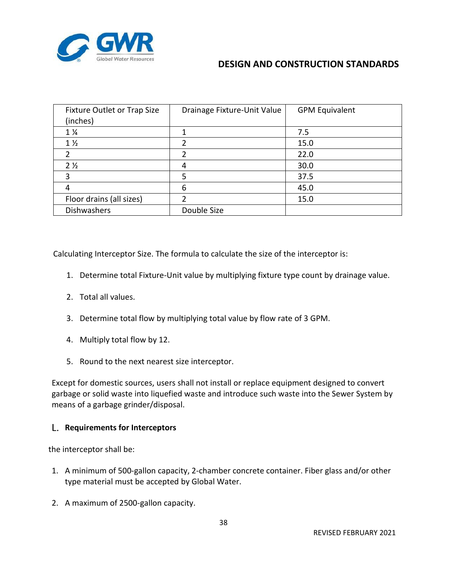



| Fixture Outlet or Trap Size<br>(inches) | Drainage Fixture-Unit Value | <b>GPM Equivalent</b> |
|-----------------------------------------|-----------------------------|-----------------------|
| $1\frac{1}{4}$                          | 1                           | 7.5                   |
| $1\frac{1}{2}$                          | າ                           | 15.0                  |
|                                         | 2                           | 22.0                  |
| 2 <sub>2</sub>                          |                             | 30.0                  |
| 3                                       |                             | 37.5                  |
| 4                                       | 6                           | 45.0                  |
| Floor drains (all sizes)                | า                           | 15.0                  |
| Dishwashers                             | Double Size                 |                       |

Calculating Interceptor Size. The formula to calculate the size of the interceptor is:

- 1. Determine total Fixture-Unit value by multiplying fixture type count by drainage value.
- 2. Total all values.
- 3. Determine total flow by multiplying total value by flow rate of 3 GPM.
- 4. Multiply total flow by 12.
- 5. Round to the next nearest size interceptor.

Except for domestic sources, users shall not install or replace equipment designed to convert garbage or solid waste into liquefied waste and introduce such waste into the Sewer System by means of a garbage grinder/disposal.

#### <span id="page-37-0"></span>**Requirements for Interceptors**

the interceptor shall be:

- 1. A minimum of 500-gallon capacity, 2-chamber concrete container. Fiber glass and/or other type material must be accepted by Global Water.
- 2. A maximum of 2500-gallon capacity.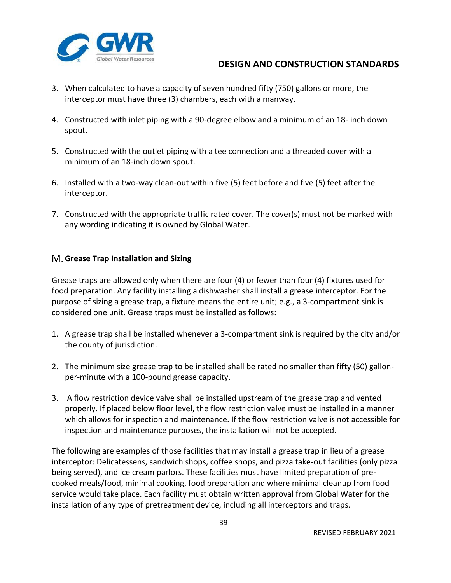

- 3. When calculated to have a capacity of seven hundred fifty (750) gallons or more, the interceptor must have three (3) chambers, each with a manway.
- 4. Constructed with inlet piping with a 90-degree elbow and a minimum of an 18- inch down spout.
- 5. Constructed with the outlet piping with a tee connection and a threaded cover with a minimum of an 18-inch down spout.
- 6. Installed with a two-way clean-out within five (5) feet before and five (5) feet after the interceptor.
- 7. Constructed with the appropriate traffic rated cover. The cover(s) must not be marked with any wording indicating it is owned by Global Water.

#### <span id="page-38-0"></span>**Grease Trap Installation and Sizing**

Grease traps are allowed only when there are four (4) or fewer than four (4) fixtures used for food preparation. Any facility installing a dishwasher shall install a grease interceptor. For the purpose of sizing a grease trap, a fixture means the entire unit; e.g., a 3-compartment sink is considered one unit. Grease traps must be installed as follows:

- 1. A grease trap shall be installed whenever a 3-compartment sink is required by the city and/or the county of jurisdiction.
- 2. The minimum size grease trap to be installed shall be rated no smaller than fifty (50) gallonper-minute with a 100-pound grease capacity.
- 3. A flow restriction device valve shall be installed upstream of the grease trap and vented properly. If placed below floor level, the flow restriction valve must be installed in a manner which allows for inspection and maintenance. If the flow restriction valve is not accessible for inspection and maintenance purposes, the installation will not be accepted.

The following are examples of those facilities that may install a grease trap in lieu of a grease interceptor: Delicatessens, sandwich shops, coffee shops, and pizza take-out facilities (only pizza being served), and ice cream parlors. These facilities must have limited preparation of precooked meals/food, minimal cooking, food preparation and where minimal cleanup from food service would take place. Each facility must obtain written approval from Global Water for the installation of any type of pretreatment device, including all interceptors and traps.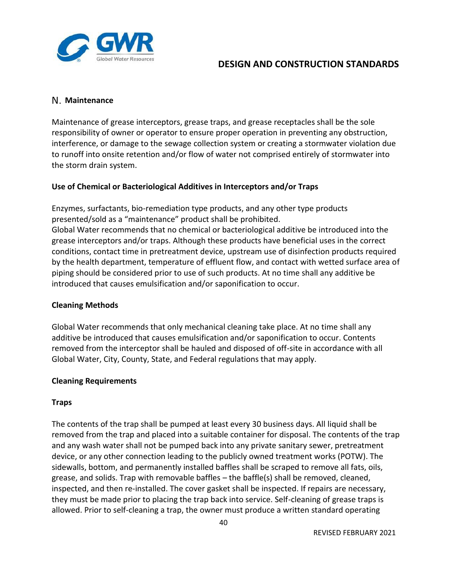

# <span id="page-39-0"></span>**Maintenance**

Maintenance of grease interceptors, grease traps, and grease receptacles shall be the sole responsibility of owner or operator to ensure proper operation in preventing any obstruction, interference, or damage to the sewage collection system or creating a stormwater violation due to runoff into onsite retention and/or flow of water not comprised entirely of stormwater into the storm drain system.

#### **Use of Chemical or Bacteriological Additives in Interceptors and/or Traps**

Enzymes, surfactants, bio-remediation type products, and any other type products presented/sold as a "maintenance" product shall be prohibited. Global Water recommends that no chemical or bacteriological additive be introduced into the grease interceptors and/or traps. Although these products have beneficial uses in the correct conditions, contact time in pretreatment device, upstream use of disinfection products required by the health department, temperature of effluent flow, and contact with wetted surface area of piping should be considered prior to use of such products. At no time shall any additive be introduced that causes emulsification and/or saponification to occur.

#### **Cleaning Methods**

Global Water recommends that only mechanical cleaning take place. At no time shall any additive be introduced that causes emulsification and/or saponification to occur. Contents removed from the interceptor shall be hauled and disposed of off-site in accordance with all Global Water, City, County, State, and Federal regulations that may apply.

#### **Cleaning Requirements**

#### **Traps**

The contents of the trap shall be pumped at least every 30 business days. All liquid shall be removed from the trap and placed into a suitable container for disposal. The contents of the trap and any wash water shall not be pumped back into any private sanitary sewer, pretreatment device, or any other connection leading to the publicly owned treatment works (POTW). The sidewalls, bottom, and permanently installed baffles shall be scraped to remove all fats, oils, grease, and solids. Trap with removable baffles – the baffle(s) shall be removed, cleaned, inspected, and then re-installed. The cover gasket shall be inspected. If repairs are necessary, they must be made prior to placing the trap back into service. Self-cleaning of grease traps is allowed. Prior to self-cleaning a trap, the owner must produce a written standard operating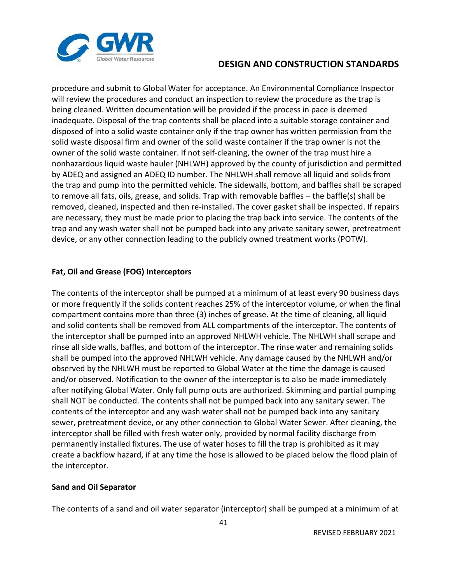

procedure and submit to Global Water for acceptance. An Environmental Compliance Inspector will review the procedures and conduct an inspection to review the procedure as the trap is being cleaned. Written documentation will be provided if the process in pace is deemed inadequate. Disposal of the trap contents shall be placed into a suitable storage container and disposed of into a solid waste container only if the trap owner has written permission from the solid waste disposal firm and owner of the solid waste container if the trap owner is not the owner of the solid waste container. If not self-cleaning, the owner of the trap must hire a nonhazardous liquid waste hauler (NHLWH) approved by the county of jurisdiction and permitted by ADEQ and assigned an ADEQ ID number. The NHLWH shall remove all liquid and solids from the trap and pump into the permitted vehicle. The sidewalls, bottom, and baffles shall be scraped to remove all fats, oils, grease, and solids. Trap with removable baffles – the baffle(s) shall be removed, cleaned, inspected and then re-installed. The cover gasket shall be inspected. If repairs are necessary, they must be made prior to placing the trap back into service. The contents of the trap and any wash water shall not be pumped back into any private sanitary sewer, pretreatment device, or any other connection leading to the publicly owned treatment works (POTW).

#### **Fat, Oil and Grease (FOG) Interceptors**

The contents of the interceptor shall be pumped at a minimum of at least every 90 business days or more frequently if the solids content reaches 25% of the interceptor volume, or when the final compartment contains more than three (3) inches of grease. At the time of cleaning, all liquid and solid contents shall be removed from ALL compartments of the interceptor. The contents of the interceptor shall be pumped into an approved NHLWH vehicle. The NHLWH shall scrape and rinse all side walls, baffles, and bottom of the interceptor. The rinse water and remaining solids shall be pumped into the approved NHLWH vehicle. Any damage caused by the NHLWH and/or observed by the NHLWH must be reported to Global Water at the time the damage is caused and/or observed. Notification to the owner of the interceptor is to also be made immediately after notifying Global Water. Only full pump outs are authorized. Skimming and partial pumping shall NOT be conducted. The contents shall not be pumped back into any sanitary sewer. The contents of the interceptor and any wash water shall not be pumped back into any sanitary sewer, pretreatment device, or any other connection to Global Water Sewer. After cleaning, the interceptor shall be filled with fresh water only, provided by normal facility discharge from permanently installed fixtures. The use of water hoses to fill the trap is prohibited as it may create a backflow hazard, if at any time the hose is allowed to be placed below the flood plain of the interceptor.

#### **Sand and Oil Separator**

The contents of a sand and oil water separator (interceptor) shall be pumped at a minimum of at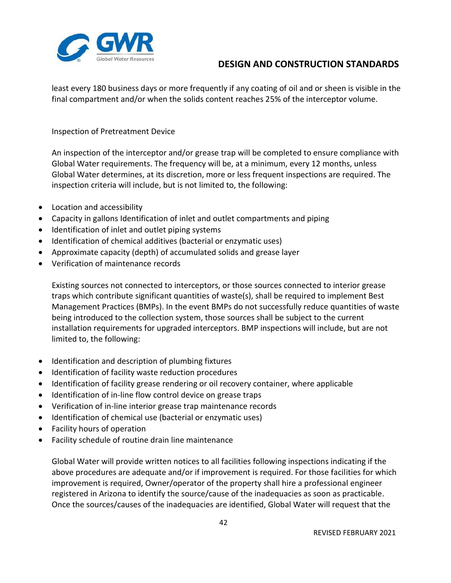



least every 180 business days or more frequently if any coating of oil and or sheen is visible in the final compartment and/or when the solids content reaches 25% of the interceptor volume.

Inspection of Pretreatment Device

An inspection of the interceptor and/or grease trap will be completed to ensure compliance with Global Water requirements. The frequency will be, at a minimum, every 12 months, unless Global Water determines, at its discretion, more or less frequent inspections are required. The inspection criteria will include, but is not limited to, the following:

- Location and accessibility
- Capacity in gallons Identification of inlet and outlet compartments and piping
- Identification of inlet and outlet piping systems
- Identification of chemical additives (bacterial or enzymatic uses)
- Approximate capacity (depth) of accumulated solids and grease layer
- Verification of maintenance records

Existing sources not connected to interceptors, or those sources connected to interior grease traps which contribute significant quantities of waste(s), shall be required to implement Best Management Practices (BMPs). In the event BMPs do not successfully reduce quantities of waste being introduced to the collection system, those sources shall be subject to the current installation requirements for upgraded interceptors. BMP inspections will include, but are not limited to, the following:

- Identification and description of plumbing fixtures
- Identification of facility waste reduction procedures
- Identification of facility grease rendering or oil recovery container, where applicable
- Identification of in-line flow control device on grease traps
- Verification of in-line interior grease trap maintenance records
- Identification of chemical use (bacterial or enzymatic uses)
- Facility hours of operation
- Facility schedule of routine drain line maintenance

Global Water will provide written notices to all facilities following inspections indicating if the above procedures are adequate and/or if improvement is required. For those facilities for which improvement is required, Owner/operator of the property shall hire a professional engineer registered in Arizona to identify the source/cause of the inadequacies as soon as practicable. Once the sources/causes of the inadequacies are identified, Global Water will request that the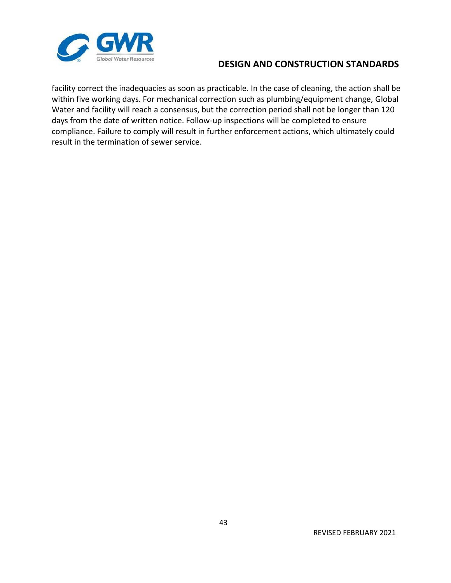

facility correct the inadequacies as soon as practicable. In the case of cleaning, the action shall be within five working days. For mechanical correction such as plumbing/equipment change, Global Water and facility will reach a consensus, but the correction period shall not be longer than 120 days from the date of written notice. Follow-up inspections will be completed to ensure compliance. Failure to comply will result in further enforcement actions, which ultimately could result in the termination of sewer service.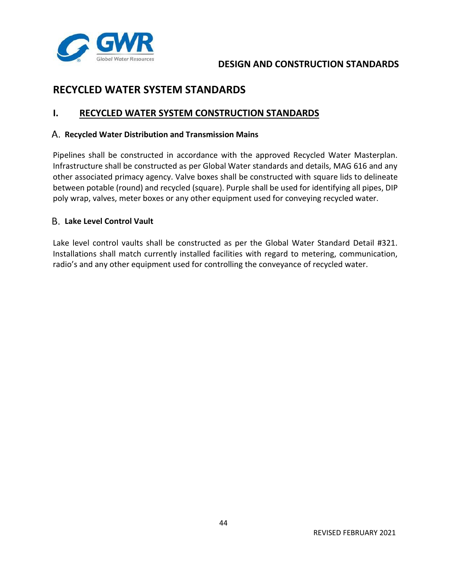

# <span id="page-43-0"></span>**RECYCLED WATER SYSTEM STANDARDS**

# <span id="page-43-1"></span>**I. RECYCLED WATER SYSTEM CONSTRUCTION STANDARDS**

#### <span id="page-43-2"></span>**Recycled Water Distribution and Transmission Mains**

Pipelines shall be constructed in accordance with the approved Recycled Water Masterplan. Infrastructure shall be constructed as per Global Water standards and details, MAG 616 and any other associated primacy agency. Valve boxes shall be constructed with square lids to delineate between potable (round) and recycled (square). Purple shall be used for identifying all pipes, DIP poly wrap, valves, meter boxes or any other equipment used for conveying recycled water.

#### <span id="page-43-3"></span>**Lake Level Control Vault**

Lake level control vaults shall be constructed as per the Global Water Standard Detail #321. Installations shall match currently installed facilities with regard to metering, communication, radio's and any other equipment used for controlling the conveyance of recycled water.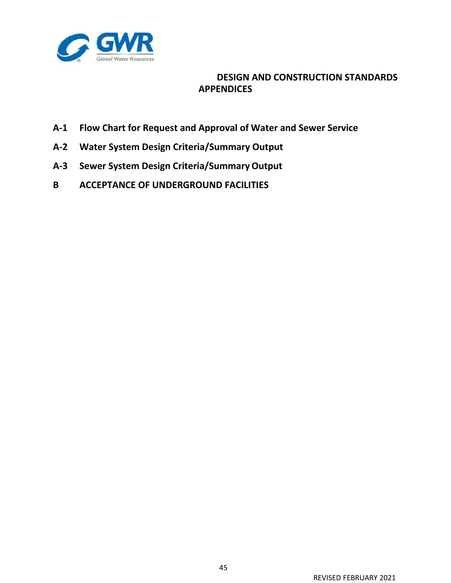

# **DESIGN AND CONSTRUCTION STANDARDS APPENDICES**

- <span id="page-44-0"></span>**A‐1 Flow Chart for Request and Approval of Water and Sewer Service**
- **A‐2 Water System Design Criteria/Summary Output**
- **A‐3 Sewer System Design Criteria/Summary Output**
- **B ACCEPTANCE OF UNDERGROUND FACILITIES**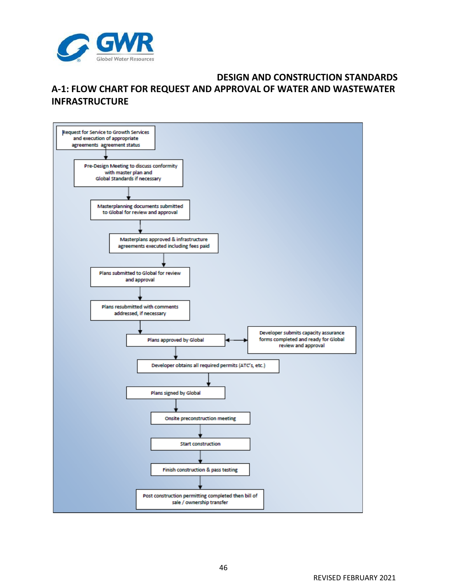

# <span id="page-45-0"></span>**DESIGN AND CONSTRUCTION STANDARDS A-1: FLOW CHART FOR REQUEST AND APPROVAL OF WATER AND WASTEWATER INFRASTRUCTURE**

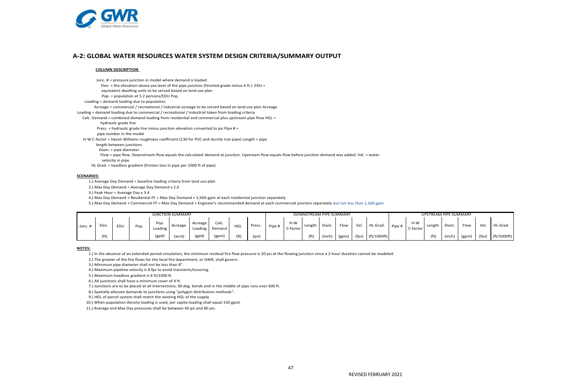

#### <span id="page-46-0"></span>**A-2: GLOBAL WATER RESOURCES WATER SYSTEM DESIGN CRITERIA/SUMMARY OUTPUT**

#### **COLUMN DESCRIPTION**

Junc. # = pressure junction in model where demand is loaded. Elev. = the elevation above sea level of the pipe junction (finished grade minus 4 ft.). EDU = equivalent dwelling units to be served based on land use plan Pop. = population at 3.2 persons/EDU Pop. Loading = demand loading due to population Acreage = commercial / recreational / industrial acreage to be served based on land use plan Acreage Loading = demand loading due to commercial / recreational / industrial taken from loading criteria Calc. Demand = combined demand loading from residential and commercial plus upstream pipe flow HGL = hydraulic grade line Press. = hydraulic grade line minus junction elevation converted to psi Pipe # = pipe number in the model H-W C-factor = Hazen Williams roughness coefficient (130 for PVC and ductile iron pipe) Length = pipe length between junctions Diam. = pipe diameter Flow = pipe flow. Downstream flow equals the calculated demand at junction. Upstream flow equals flow before junction demand was added. Vel. = water velocity in pipe HL Grad. = headloss gradient (friction loss in pipe per 1000 ft of pipe)

#### **SCENARIOS:**

1.) Average Day Demand = baseline loading criteria from land use plan

2.) Max Day Demand = Average Day Demand x 2.0

3.) Peak Hour = Average Day x 3.4

4.) Max Day Demand + Residential FF = Max Day Demand + 1,500-gpm at each residential junction separately

5.) Max Day Demand + Commercial FF = Max Day Demand + Engineer's recommended demand at each commercial junction separately but not less than 1,500 gpm.

| <b>JUNCTION SUMMARY</b> |                   |     |      |                 |         |                    | DOWNSTREAM PIPE SUMMARY |                   |        |        | UPSTREAM PIPE SUMMARY |                   |        |         |       |             |        |                 |                   |        |       |       |             |
|-------------------------|-------------------|-----|------|-----------------|---------|--------------------|-------------------------|-------------------|--------|--------|-----------------------|-------------------|--------|---------|-------|-------------|--------|-----------------|-------------------|--------|-------|-------|-------------|
| Junc. #                 | Elev              | EDU | Pop. | Pop.<br>Loading | Acreage | Acreage<br>Loading | Calc.<br>Demand         | HGL               | Press. | Pipe # | H-W<br>-factor        | Length            | Diam.  | $F$ low | Vel.  | . Grad      | Pipe # | H-W<br>C-factor | Length            | Diam.  | Flow  | Vel   | HL Grac     |
|                         | (f <sub>t</sub> ) |     |      | (gpd)           | (acre   | (gpd,              | (gpm)                   | (f <sup>†</sup> ) | (psi   |        |                       | (f <sub>t</sub> ) | (inch) | (gpm)   | (fps, | (ft/1000ft) |        |                 | (f <sub>t</sub> ) | (inch) | (gpm) | (fps) | (ft/1000ft) |

**NOTES:**

1.) In the absence of an extended period simulation, the minimum residual fire flow pressure is 20 psi at the flowing junction since a 2-hour duration cannot be modeled.

2.) The greater of the fire flows for the local fire department, or GWR, shall govern.

3.) Minimum pipe diameter shall not be less than 8".

4.) Maximum pipeline velocity is 8 fps to avoid transients/scouring.

5.) Maximum headloss gradient is 6 ft/1000 ft.

6.) All junctions shall have a minimum cover of 4 ft.

7.) Junctions are to be placed at all intersections, 90 deg. bends and in the middle of pipe runs over 600 ft.

8.) Spatially allocate demands to junctions using "polygon distribution methods".

9.) HGL of parcel system shall match the existing HGL of the supply.

10.) When population density loading is used, per capita loading shall equal 150 gpcd.

11.) Average and Max Day pressures shall be between 40 psi and 80 psi.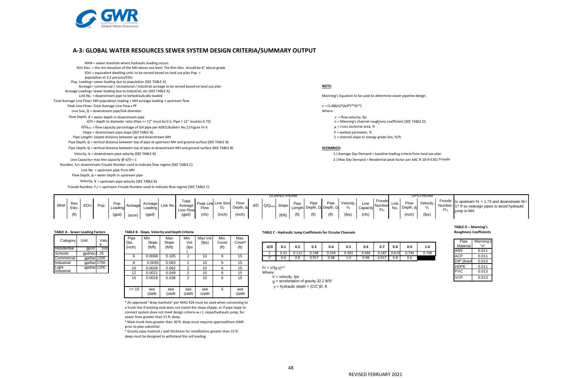#### Is upstream Fr  $> 1.73$  and downstream Fr< Number, 1? If so redesign pipes to avoid hydraulic jump in MH. pcity  $\mathcal{V}_1$ )s) Froude  $Fr<sub>1</sub>$



#### **A-3: GLOBAL WATER RESOURCES SEWER SYSTEM DESIGN CRITERIA/SUMMARY OUTPUT**

<span id="page-47-0"></span>

| $MH# =$ sewer manhole where hydraulic loading occurs                                                      |                                                                  |
|-----------------------------------------------------------------------------------------------------------|------------------------------------------------------------------|
| Rim Elev. = the rim elevation of the MH above sea level. The Rim Elev. should be 6" above grade.          |                                                                  |
| $EDU =$ equivalent dwelling units to be served based on land use plan Pop. $=$                            |                                                                  |
| population at 3.2 persons/EDU                                                                             |                                                                  |
| Pop. Loading= sewer loading due to population (SEE TABLE A)                                               |                                                                  |
| Acreage = commercial / recreational / industrial acreage to be served based on land use plan              | <b>NOTE:</b>                                                     |
| Acreage Loading= sewer loading due to industrial, etc (SEE TABLE A)                                       |                                                                  |
| Link No. = downstream pipe to behydraulically loaded                                                      | Manning's Equation to be used to determine sewer pipeline design |
| Total Average Line Flow= MH population loading + MH acreage loading + upstream flow                       |                                                                  |
| Peak Line Flow= Total Average Line Flow x PF                                                              | v = $(1.486/n)*(A/P2)3*(S1/2)$                                   |
| Line Size, $Q =$ downstream pipe/link diameter                                                            | Where:                                                           |
| Flow Depth, $d =$ water depth in downstream pipe                                                          | $v =$ flow velocity, fps                                         |
| $d/D$ = depth to diameter ratio (Pipe $\leq$ 12" must be 0.5; Pipe > 12" must be 0.75)                    | n = Manning's channel roughness coefficient (SEE TABLE D)        |
| $Q/Q_{max}$ = flow capacity percentage of full pipe per ADEQ Bulletin No.11 Figure IV-3                   | $A = cross sectional area, ft$                                   |
| Slope = downstream pipe slope (SEE TABLE B)                                                               | $P = w$ etted perimeter, ft                                      |
| Pipe Length= sloped distance between up and downstream MH                                                 | S = channel slope or energy grade line, ft/ft                    |
| Pipe Depth, $Q$ = vertical distance between top of pipe at upstream MH and ground surface (SEE TABLE B)   |                                                                  |
| Pipe Depth, $Q$ = vertical distance between top of pipe at downstream MH and ground surface (SEE TABLE B) | <b>SCENARIOS:</b>                                                |
| Velocity, $V_2$ = downstream pipe velocity (SEE TABLE B)                                                  | 1.) Average Day Demand = baseline loading criteria from lan      |
| Line Capacity= max line capacity @ $d/D = 1$                                                              | 2.) Max Day Demand = Residential peak factor per AAC R-18        |
|                                                                                                           |                                                                  |

Number, F<sub>2</sub>r = downstream Froude Number used to indicate flow regime (SEE TABLE C)

Link No. = upstream pipe from MH

Flow Depth,  $d =$  water depth in upstream pipe

Velocity,  $V =$  upstream pipe velocity (SEE TABLE B)

Froude Number,  $F_1r$  = upstream Froude Number used to indicate flow regime (SEE TABLE C)

1.) Average Day Demand = baseline loading criteria from land use plan 2.) Max Day Demand = Residential peak factor per AAC R-18-9-E301 Froude

#### **TABLE A - Sewer Loading Factors TABLE B - Slope, Velocity and Depth Criteria TABLE C - Hydraulic Jump Coefficients for Circular Channels**

#### **TABLE D – Manning's Roughness Coefficients**

| d/D | 0.1  | 0.2   | 0.3   | 0.4   | 0.5   | 0.6   | 0.7   | 0.8   | 0.9   | 1.0   |
|-----|------|-------|-------|-------|-------|-------|-------|-------|-------|-------|
|     | 0.41 | 0.112 | 0.198 | 0.293 | 0.393 | 0.494 | 0.587 | 0.674 | 0.745 | 0.748 |
|     | 0.6  | 0.8   | 0.917 | 0.98  | 1.0   | 0.98  | 0.917 | 0.8   | 0.6   |       |

 $Fr = V/(g y)^{1/2}$ 

Where:

 $V =$  velocity, fps

 $g =$  acceleration of gravity, 32.2 ft/ $S<sup>2</sup>$ 

 $y =$  hydraulic depth =  $(C/C')D$ , ft

\* An approved "drop manhole" per MAG 426 must be used when connecting to a trunk line if existing stub does not match the slope ofpipe, or if pipe slope to connect system does not meet design criteria w.r.t. slope/hydraulic jump, for sewer lines greater than 15 ft. deep.

\* Main trunk lines greater than 30 ft. deep must requires approvalfrom GWR prior to plan submittal.

|     |                   |     |      |                 |         |                    |               |                               |                                  |                                           |                          |     |                          | <b>JOWNSTREAM</b> |                   |                             |      |                             |                  |                                                                                                                                                                                                                                                    |             |                  | JPSTREAM            |
|-----|-------------------|-----|------|-----------------|---------|--------------------|---------------|-------------------------------|----------------------------------|-------------------------------------------|--------------------------|-----|--------------------------|-------------------|-------------------|-----------------------------|------|-----------------------------|------------------|----------------------------------------------------------------------------------------------------------------------------------------------------------------------------------------------------------------------------------------------------|-------------|------------------|---------------------|
| MH# | Rim<br>Elev.      | EDU | Pop. | Pop.<br>_oadinc | Acreage | Acreage<br>Loading | Link<br>: No. | Total<br>Average<br>Line Flow | Peak <sub>L</sub><br><b>Flow</b> | : Size<br>. Line Line i<br>D <sub>2</sub> | $F$ low<br>Depth, $\phi$ | d/D | $\sim$<br><b>W/ Umax</b> | Slope             | Pipe<br>Lenathl   | Pipe<br>Depth, D. Depth, D. | Pipe | Velocity,<br>V <sub>2</sub> | Line<br>Capacity | Froudel<br>Number<br>and the state of the state of the state of the state of the state of the state of the state of the state of the state of the state of the state of the state of the state of the state of the state of the state of the state | Link<br>No. | Flow<br>Depth, d | Velocity<br>$V_{1}$ |
|     | (f <sup>t</sup> ) |     |      | (gpd)           | (acre)  | (gpd               |               | gpd)                          | (cfs)                            | (inch)                                    | ʻinch)                   |     |                          | (f t / f t)       | (f <sub>t</sub> ) | (f <sub>t</sub> )           | (ft  | 'fps)                       | (cfs)            | $-12$                                                                                                                                                                                                                                              |             | (inch)           | (fps)               |

\* Gravity pipe material / wall thickness for installations greater than 15 ft.

deep must be designed to withstand the soil loading.

| Category           | Unit         | Valul<br>e |
|--------------------|--------------|------------|
| Residential        | gpcd         | 100        |
| Schools            | gpd/stud. 25 |            |
| Commercial         | gpd/ac 1500  |            |
| Industrial         | gpd/ac 1700  |            |
| Light<br>ndustrial | gpd/ac 1200  |            |

| Pipe<br>Dia.<br>(inch) | Min<br>Slope<br>ft/ft) | Max<br>Slope<br>$({\rm ft}/{\rm ft})$ | Min<br>Vel.<br>(fps | Max Vel.<br>(fps) | Min.<br>Cover<br>(f <sup>t</sup> ) | Max.<br>Cover*<br>(f <sup>t</sup> ) |
|------------------------|------------------------|---------------------------------------|---------------------|-------------------|------------------------------------|-------------------------------------|
| 6                      | 0.0068                 | 0.105                                 | 2                   | 10                | 6                                  | 15                                  |
| 8                      | 0.0035                 | 0.083                                 | 2                   | 10                | 6                                  | 15                                  |
| 10                     | 0.0028                 | 0.062                                 | 2                   | 10                | 6                                  | 15                                  |
| 12                     | 0.0021                 | 0.049                                 | 2                   | 10                | 6                                  | 15                                  |
| 15                     | 0.0018                 | 0.036                                 | 2                   | 10                | 6                                  | 15                                  |
| $>= 15$                | see<br><b>GWR</b>      | see<br>GWR                            | see<br>GWR          | see<br><b>GWR</b> | 6                                  | see<br><b>GWR</b>                   |

| Pipe<br>Material | Manning's<br>"~" |
|------------------|------------------|
| ABS              | 0.011            |
| ACP              | 0.011            |
| DIP (lined       | 0.013            |
| <b>HDPE</b>      | 0.011            |
| <b>PVC</b>       | 0.013            |
| VCP              | 0.013            |